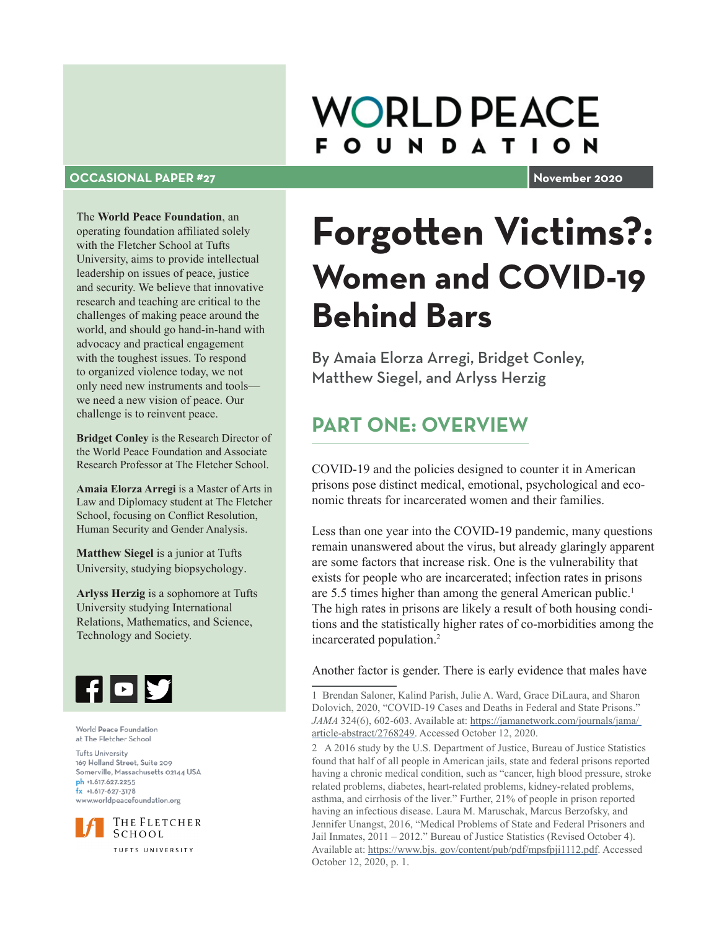## **WORLD PEACE FOUNDATION**

#### **OCCASIONAL PAPER #27 November 2020**

The **World Peace Foundation**, an operating foundation affiliated solely with the Fletcher School at Tufts University, aims to provide intellectual leadership on issues of peace, justice and security. We believe that innovative research and teaching are critical to the challenges of making peace around the world, and should go hand-in-hand with advocacy and practical engagement with the toughest issues. To respond to organized violence today, we not only need new instruments and tools we need a new vision of peace. Our challenge is to reinvent peace.

**Bridget Conley** is the Research Director of the World Peace Foundation and Associate Research Professor at The Fletcher School.

**Amaia Elorza Arregi** is a Master of Arts in Law and Diplomacy student at The Fletcher School, focusing on Conflict Resolution, Human Security and Gender Analysis.

**Matthew Siegel** is a junior at Tufts University, studying biopsychology.

**Arlyss Herzig** is a sophomore at Tufts University studying International Relations, Mathematics, and Science, Technology and Society.



World Peace Foundation at The Fletcher School

**Tufts University** 169 Holland Street, Suite 209 Somerville, Massachusetts 02144 USA ph +1.617.627.2255  $fx +1.617-627-3178$ www.worldpeacefoundation.org



TUFTS UNIVERSITY

# **Forgotten Victims?: Women and COVID-19 Behind Bars**

By Amaia Elorza Arregi, Bridget Conley, Matthew Siegel, and Arlyss Herzig

## **PART ONE: OVERVIEW**

COVID-19 and the policies designed to counter it in American prisons pose distinct medical, emotional, psychological and economic threats for incarcerated women and their families.

Less than one year into the COVID-19 pandemic, many questions remain unanswered about the virus, but already glaringly apparent are some factors that increase risk. One is the vulnerability that exists for people who are incarcerated; infection rates in prisons are 5.5 times higher than among the general American public.<sup>1</sup> The high rates in prisons are likely a result of both housing conditions and the statistically higher rates of co-morbidities among the incarcerated population.<sup>2</sup>

Another factor is gender. There is early evidence that males have

1 Brendan Saloner, Kalind Parish, Julie A. Ward, Grace DiLaura, and Sharon Dolovich, 2020, "COVID-19 Cases and Deaths in Federal and State Prisons." *JAMA* 324(6), 602-603. Available at: https://jamanetwork.com/journals/jama/ article-abstract/2768249. Accessed October 12, 2020.

2 A 2016 study by the U.S. Department of Justice, Bureau of Justice Statistics found that half of all people in American jails, state and federal prisons reported having a chronic medical condition, such as "cancer, high blood pressure, stroke related problems, diabetes, heart-related problems, kidney-related problems, asthma, and cirrhosis of the liver." Further, 21% of people in prison reported having an infectious disease. Laura M. Maruschak, Marcus Berzofsky, and Jennifer Unangst, 2016, "Medical Problems of State and Federal Prisoners and Jail Inmates, 2011 – 2012." Bureau of Justice Statistics (Revised October 4). Available at: https://www.bjs. gov/content/pub/pdf/mpsfpji1112.pdf. Accessed October 12, 2020, p. 1.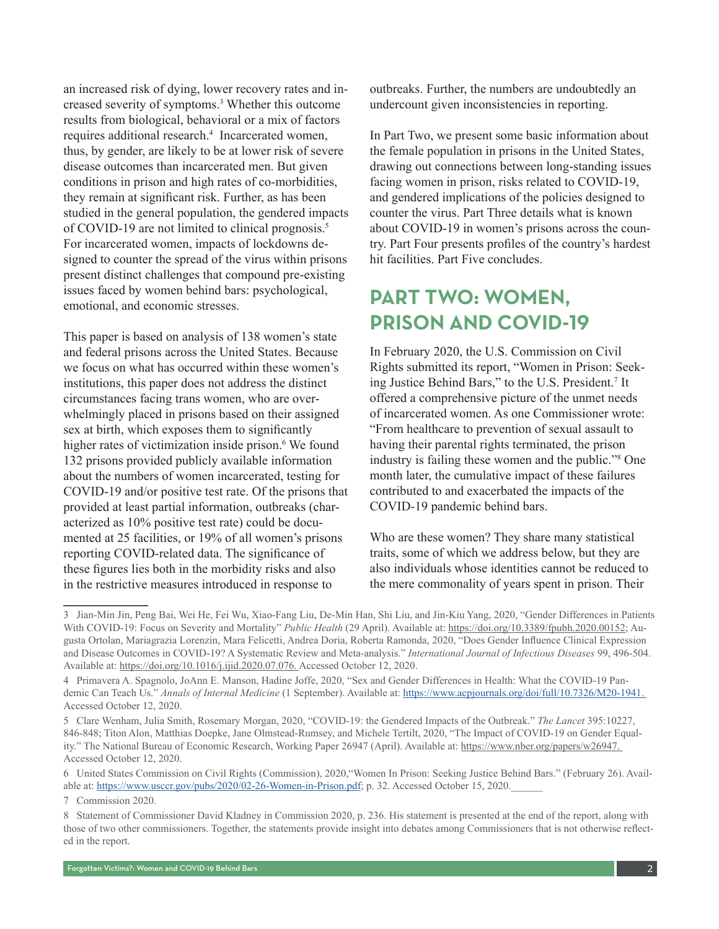an increased risk of dying, lower recovery rates and increased severity of symptoms.<sup>3</sup> Whether this outcome results from biological, behavioral or a mix of factors requires additional research.<sup>4</sup> Incarcerated women, thus, by gender, are likely to be at lower risk of severe disease outcomes than incarcerated men. But given conditions in prison and high rates of co-morbidities, they remain at significant risk. Further, as has been studied in the general population, the gendered impacts of COVID-19 are not limited to clinical prognosis.<sup>5</sup> For incarcerated women, impacts of lockdowns designed to counter the spread of the virus within prisons present distinct challenges that compound pre-existing issues faced by women behind bars: psychological, emotional, and economic stresses.

This paper is based on analysis of 138 women's state and federal prisons across the United States. Because we focus on what has occurred within these women's institutions, this paper does not address the distinct circumstances facing trans women, who are overwhelmingly placed in prisons based on their assigned sex at birth, which exposes them to significantly higher rates of victimization inside prison.<sup>6</sup> We found 132 prisons provided publicly available information about the numbers of women incarcerated, testing for COVID-19 and/or positive test rate. Of the prisons that provided at least partial information, outbreaks (characterized as 10% positive test rate) could be documented at 25 facilities, or 19% of all women's prisons reporting COVID-related data. The significance of these figures lies both in the morbidity risks and also in the restrictive measures introduced in response to

outbreaks. Further, the numbers are undoubtedly an undercount given inconsistencies in reporting.

In Part Two, we present some basic information about the female population in prisons in the United States, drawing out connections between long-standing issues facing women in prison, risks related to COVID-19, and gendered implications of the policies designed to counter the virus. Part Three details what is known about COVID-19 in women's prisons across the country. Part Four presents profiles of the country's hardest hit facilities. Part Five concludes.

## **PART TWO: WOMEN, PRISON AND COVID-19**

In February 2020, the U.S. Commission on Civil Rights submitted its report, "Women in Prison: Seeking Justice Behind Bars," to the U.S. President.<sup>7</sup> It offered a comprehensive picture of the unmet needs of incarcerated women. As one Commissioner wrote: "From healthcare to prevention of sexual assault to having their parental rights terminated, the prison industry is failing these women and the public."8 One month later, the cumulative impact of these failures contributed to and exacerbated the impacts of the COVID-19 pandemic behind bars.

Who are these women? They share many statistical traits, some of which we address below, but they are also individuals whose identities cannot be reduced to the mere commonality of years spent in prison. Their

<sup>3</sup> Jian-Min Jin, Peng Bai, Wei He, Fei Wu, Xiao-Fang Liu, De-Min Han, Shi Liu, and Jin-Kiu Yang, 2020, "Gender Differences in Patients With COVID-19: Focus on Severity and Mortality" *Public Health* (29 April). Available at: https://doi.org/10.3389/fpubh.2020.00152; Augusta Ortolan, Mariagrazia Lorenzin, Mara Felicetti, Andrea Doria, Roberta Ramonda, 2020, "Does Gender Influence Clinical Expression and Disease Outcomes in COVID-19? A Systematic Review and Meta-analysis." *International Journal of Infectious Diseases* 99, 496-504. Available at: https://doi.org/10.1016/j.ijid.2020.07.076. Accessed October 12, 2020.

<sup>4</sup> Primavera A. Spagnolo, JoAnn E. Manson, Hadine Joffe, 2020, "Sex and Gender Differences in Health: What the COVID-19 Pandemic Can Teach Us." *Annals of Internal Medicine* (1 September). Available at: https://www.acpjournals.org/doi/full/10.7326/M20-1941. Accessed October 12, 2020.

<sup>5</sup> Clare Wenham, Julia Smith, Rosemary Morgan, 2020, "COVID-19: the Gendered Impacts of the Outbreak." *The Lancet* 395:10227, 846-848; Titon Alon, Matthias Doepke, Jane Olmstead-Rumsey, and Michele Tertilt, 2020, "The Impact of COVID-19 on Gender Equality." The National Bureau of Economic Research, Working Paper 26947 (April). Available at: https://www.nber.org/papers/w26947. Accessed October 12, 2020.

<sup>6</sup> United States Commission on Civil Rights (Commission), 2020,"Women In Prison: Seeking Justice Behind Bars." (February 26). Available at: https://www.usccr.gov/pubs/2020/02-26-Women-in-Prison.pdf; p. 32. Accessed October 15, 2020.

<sup>7</sup> Commission 2020.

<sup>8</sup> Statement of Commissioner David Kladney in Commission 2020, p. 236. His statement is presented at the end of the report, along with those of two other commissioners. Together, the statements provide insight into debates among Commissioners that is not otherwise reflected in the report.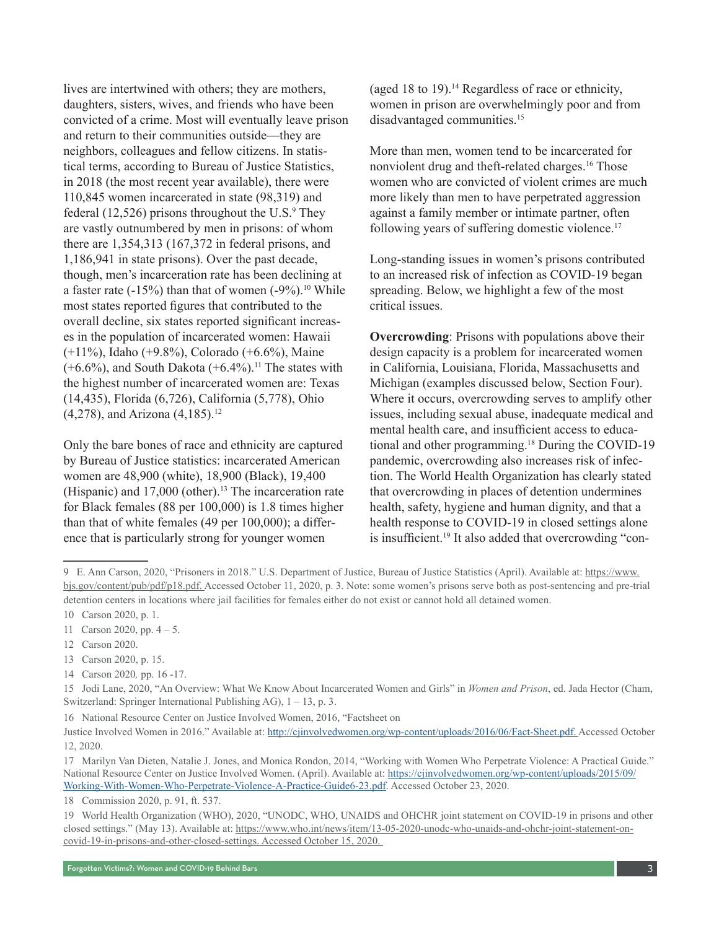lives are intertwined with others; they are mothers, daughters, sisters, wives, and friends who have been convicted of a crime. Most will eventually leave prison and return to their communities outside—they are neighbors, colleagues and fellow citizens. In statistical terms, according to Bureau of Justice Statistics, in 2018 (the most recent year available), there were 110,845 women incarcerated in state (98,319) and federal  $(12,526)$  prisons throughout the U.S.<sup>9</sup> They are vastly outnumbered by men in prisons: of whom there are 1,354,313 (167,372 in federal prisons, and 1,186,941 in state prisons). Over the past decade, though, men's incarceration rate has been declining at a faster rate  $(-15%)$  than that of women  $(-9%)$ .<sup>10</sup> While most states reported figures that contributed to the overall decline, six states reported significant increases in the population of incarcerated women: Hawaii (+11%), Idaho (+9.8%), Colorado (+6.6%), Maine  $(+6.6\%)$ , and South Dakota  $(+6.4\%)$ .<sup>11</sup> The states with the highest number of incarcerated women are: Texas (14,435), Florida (6,726), California (5,778), Ohio  $(4,278)$ , and Arizona  $(4,185)$ .<sup>12</sup>

Only the bare bones of race and ethnicity are captured by Bureau of Justice statistics: incarcerated American women are 48,900 (white), 18,900 (Black), 19,400 (Hispanic) and 17,000 (other).13 The incarceration rate for Black females (88 per 100,000) is 1.8 times higher than that of white females (49 per 100,000); a difference that is particularly strong for younger women

(aged 18 to 19).14 Regardless of race or ethnicity, women in prison are overwhelmingly poor and from disadvantaged communities.<sup>15</sup>

More than men, women tend to be incarcerated for nonviolent drug and theft-related charges.16 Those women who are convicted of violent crimes are much more likely than men to have perpetrated aggression against a family member or intimate partner, often following years of suffering domestic violence.<sup>17</sup>

Long-standing issues in women's prisons contributed to an increased risk of infection as COVID-19 began spreading. Below, we highlight a few of the most critical issues.

**Overcrowding:** Prisons with populations above their design capacity is a problem for incarcerated women in California, Louisiana, Florida, Massachusetts and Michigan (examples discussed below, Section Four). Where it occurs, overcrowding serves to amplify other issues, including sexual abuse, inadequate medical and mental health care, and insufficient access to educational and other programming.18 During the COVID-19 pandemic, overcrowding also increases risk of infection. The World Health Organization has clearly stated that overcrowding in places of detention undermines health, safety, hygiene and human dignity, and that a health response to COVID-19 in closed settings alone is insufficient.<sup>19</sup> It also added that overcrowding "con-

16 National Resource Center on Justice Involved Women, 2016, "Factsheet on

<sup>9</sup> E. Ann Carson, 2020, "Prisoners in 2018." U.S. Department of Justice, Bureau of Justice Statistics (April). Available at: https://www. bjs.gov/content/pub/pdf/p18.pdf. Accessed October 11, 2020, p. 3. Note: some women's prisons serve both as post-sentencing and pre-trial detention centers in locations where jail facilities for females either do not exist or cannot hold all detained women.

<sup>10</sup> Carson 2020, p. 1.

<sup>11</sup> Carson 2020, pp. 4 – 5.

<sup>12</sup> Carson 2020.

<sup>13</sup> Carson 2020, p. 15.

<sup>14</sup> Carson 2020*,* pp. 16 -17.

<sup>15</sup> Jodi Lane, 2020, "An Overview: What We Know About Incarcerated Women and Girls" in *Women and Prison*, ed. Jada Hector (Cham, Switzerland: Springer International Publishing AG), 1 – 13, p. 3.

Justice Involved Women in 2016." Available at: http://cjinvolvedwomen.org/wp-content/uploads/2016/06/Fact-Sheet.pdf. Accessed October 12, 2020.

<sup>17</sup> Marilyn Van Dieten, Natalie J. Jones, and Monica Rondon, 2014, "Working with Women Who Perpetrate Violence: A Practical Guide." National Resource Center on Justice Involved Women. (April). Available at: https://cjinvolvedwomen.org/wp-content/uploads/2015/09/ Working-With-Women-Who-Perpetrate-Violence-A-Practice-Guide6-23.pdf. Accessed October 23, 2020.

<sup>18</sup> Commission 2020, p. 91, ft. 537.

<sup>19</sup> World Health Organization (WHO), 2020, "UNODC, WHO, UNAIDS and OHCHR joint statement on COVID-19 in prisons and other closed settings." (May 13). Available at: https://www.who.int/news/item/13-05-2020-unodc-who-unaids-and-ohchr-joint-statement-oncovid-19-in-prisons-and-other-closed-settings. Accessed October 15, 2020.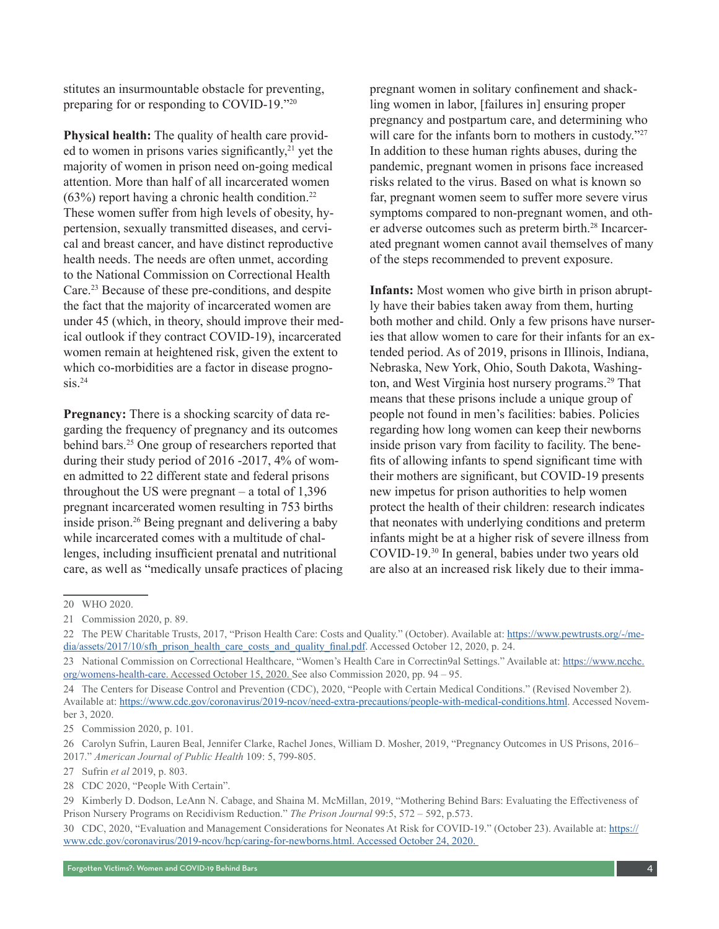stitutes an insurmountable obstacle for preventing, preparing for or responding to COVID-19."20

**Physical health:** The quality of health care provided to women in prisons varies significantly, $2<sup>1</sup>$  yet the majority of women in prison need on-going medical attention. More than half of all incarcerated women  $(63%)$  report having a chronic health condition.<sup>22</sup> These women suffer from high levels of obesity, hypertension, sexually transmitted diseases, and cervical and breast cancer, and have distinct reproductive health needs. The needs are often unmet, according to the National Commission on Correctional Health Care.<sup>23</sup> Because of these pre-conditions, and despite the fact that the majority of incarcerated women are under 45 (which, in theory, should improve their medical outlook if they contract COVID-19), incarcerated women remain at heightened risk, given the extent to which co-morbidities are a factor in disease progno $sis.$ <sup>24</sup>

**Pregnancy:** There is a shocking scarcity of data regarding the frequency of pregnancy and its outcomes behind bars.<sup>25</sup> One group of researchers reported that during their study period of 2016 -2017, 4% of women admitted to 22 different state and federal prisons throughout the US were pregnant – a total of 1,396 pregnant incarcerated women resulting in 753 births inside prison.<sup>26</sup> Being pregnant and delivering a baby while incarcerated comes with a multitude of challenges, including insufficient prenatal and nutritional care, as well as "medically unsafe practices of placing pregnant women in solitary confinement and shackling women in labor, [failures in] ensuring proper pregnancy and postpartum care, and determining who will care for the infants born to mothers in custody."27 In addition to these human rights abuses, during the pandemic, pregnant women in prisons face increased risks related to the virus. Based on what is known so far, pregnant women seem to suffer more severe virus symptoms compared to non-pregnant women, and other adverse outcomes such as preterm birth.28 Incarcerated pregnant women cannot avail themselves of many of the steps recommended to prevent exposure.

**Infants:** Most women who give birth in prison abruptly have their babies taken away from them, hurting both mother and child. Only a few prisons have nurseries that allow women to care for their infants for an extended period. As of 2019, prisons in Illinois, Indiana, Nebraska, New York, Ohio, South Dakota, Washington, and West Virginia host nursery programs.<sup>29</sup> That means that these prisons include a unique group of people not found in men's facilities: babies. Policies regarding how long women can keep their newborns inside prison vary from facility to facility. The benefits of allowing infants to spend significant time with their mothers are significant, but COVID-19 presents new impetus for prison authorities to help women protect the health of their children: research indicates that neonates with underlying conditions and preterm infants might be at a higher risk of severe illness from COVID-19.30 In general, babies under two years old are also at an increased risk likely due to their imma-

25 Commission 2020, p. 101.

26 Carolyn Sufrin, Lauren Beal, Jennifer Clarke, Rachel Jones, William D. Mosher, 2019, "Pregnancy Outcomes in US Prisons, 2016– 2017." *American Journal of Public Health* 109: 5, 799-805.

27 Sufrin *et al* 2019, p. 803.

28 CDC 2020, "People With Certain".

30 CDC, 2020, "Evaluation and Management Considerations for Neonates At Risk for COVID-19." (October 23). Available at: https:// www.cdc.gov/coronavirus/2019-ncov/hcp/caring-for-newborns.html. Accessed October 24, 2020.

<sup>20</sup> WHO 2020.

<sup>21</sup> Commission 2020, p. 89.

<sup>22</sup> The PEW Charitable Trusts, 2017, "Prison Health Care: Costs and Quality." (October). Available at: https://www.pewtrusts.org/-/media/assets/2017/10/sfh\_prison\_health\_care\_costs\_and\_quality\_final.pdf. Accessed October 12, 2020, p. 24.

<sup>23</sup> National Commission on Correctional Healthcare, "Women's Health Care in Correctin9al Settings." Available at: [https://www.ncchc.](https://www.ncchc.org/womens-health-care) [org/womens-health-care](https://www.ncchc.org/womens-health-care). Accessed October 15, 2020. See also Commission 2020, pp. 94 – 95.

<sup>24</sup> The Centers for Disease Control and Prevention (CDC), 2020, "People with Certain Medical Conditions." (Revised November 2). Available at: https://www.cdc.gov/coronavirus/2019-ncov/need-extra-precautions/people-with-medical-conditions.html. Accessed November 3, 2020.

<sup>29</sup> Kimberly D. Dodson, LeAnn N. Cabage, and Shaina M. McMillan, 2019, "Mothering Behind Bars: Evaluating the Effectiveness of Prison Nursery Programs on Recidivism Reduction." *The Prison Journal* 99:5, 572 – 592, p.573.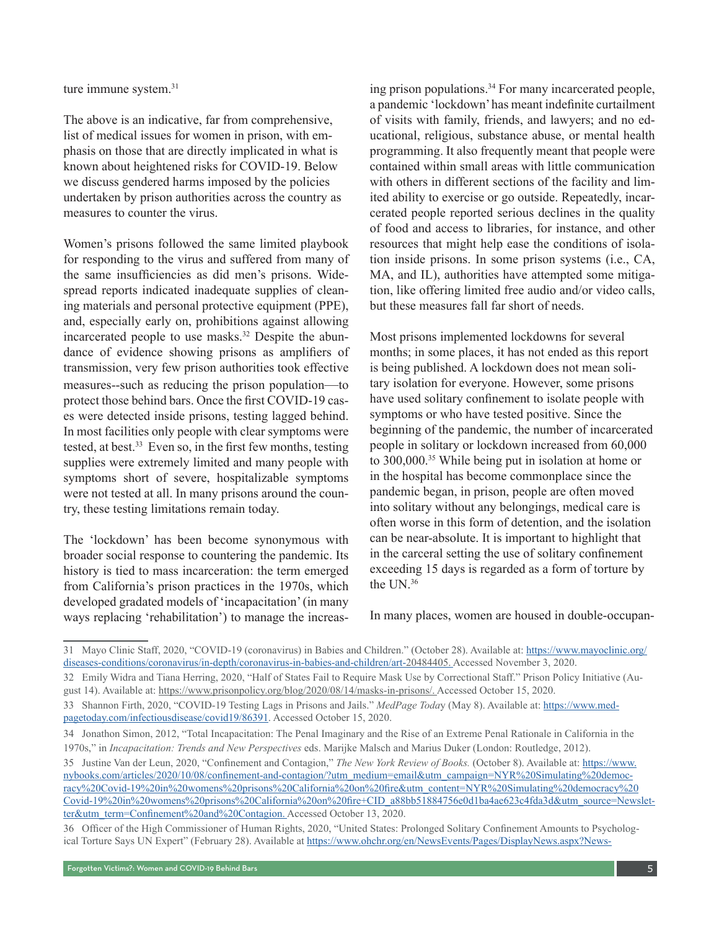ture immune system.<sup>31</sup>

The above is an indicative, far from comprehensive, list of medical issues for women in prison, with emphasis on those that are directly implicated in what is known about heightened risks for COVID-19. Below we discuss gendered harms imposed by the policies undertaken by prison authorities across the country as measures to counter the virus.

Women's prisons followed the same limited playbook for responding to the virus and suffered from many of the same insufficiencies as did men's prisons. Widespread reports indicated inadequate supplies of cleaning materials and personal protective equipment (PPE), and, especially early on, prohibitions against allowing incarcerated people to use masks.<sup>32</sup> Despite the abundance of evidence showing prisons as amplifiers of transmission, very few prison authorities took effective measures--such as reducing the prison population—to protect those behind bars. Once the first COVID-19 cases were detected inside prisons, testing lagged behind. In most facilities only people with clear symptoms were tested, at best.<sup>33</sup> Even so, in the first few months, testing supplies were extremely limited and many people with symptoms short of severe, hospitalizable symptoms were not tested at all. In many prisons around the country, these testing limitations remain today.

The 'lockdown' has been become synonymous with broader social response to countering the pandemic. Its history is tied to mass incarceration: the term emerged from California's prison practices in the 1970s, which developed gradated models of 'incapacitation' (in many ways replacing 'rehabilitation') to manage the increasing prison populations.<sup>34</sup> For many incarcerated people, a pandemic 'lockdown' has meant indefinite curtailment of visits with family, friends, and lawyers; and no educational, religious, substance abuse, or mental health programming. It also frequently meant that people were contained within small areas with little communication with others in different sections of the facility and limited ability to exercise or go outside. Repeatedly, incarcerated people reported serious declines in the quality of food and access to libraries, for instance, and other resources that might help ease the conditions of isolation inside prisons. In some prison systems (i.e., CA, MA, and IL), authorities have attempted some mitigation, like offering limited free audio and/or video calls, but these measures fall far short of needs.

Most prisons implemented lockdowns for several months; in some places, it has not ended as this report is being published. A lockdown does not mean solitary isolation for everyone. However, some prisons have used solitary confinement to isolate people with symptoms or who have tested positive. Since the beginning of the pandemic, the number of incarcerated people in solitary or lockdown increased from 60,000 to 300,000.<sup>35</sup> While being put in isolation at home or in the hospital has become commonplace since the pandemic began, in prison, people are often moved into solitary without any belongings, medical care is often worse in this form of detention, and the isolation can be near-absolute. It is important to highlight that in the carceral setting the use of solitary confinement exceeding 15 days is regarded as a form of torture by the UN 36

In many places, women are housed in double-occupan-

<sup>31</sup> Mayo Clinic Staff, 2020, "COVID-19 (coronavirus) in Babies and Children." (October 28). Available at: https://www.mayoclinic.org/ diseases-conditions/coronavirus/in-depth/coronavirus-in-babies-and-children/art-20484405. Accessed November 3, 2020.

<sup>32</sup> Emily Widra and Tiana Herring, 2020, "Half of States Fail to Require Mask Use by Correctional Staff." Prison Policy Initiative (August 14). Available at: https://www.prisonpolicy.org/blog/2020/08/14/masks-in-prisons/. Accessed October 15, 2020.

<sup>33</sup> Shannon Firth, 2020, "COVID-19 Testing Lags in Prisons and Jails." *MedPage Toda*y (May 8). Available at: https://www.medpagetoday.com/infectiousdisease/covid19/86391. Accessed October 15, 2020.

<sup>34</sup> Jonathon Simon, 2012, "Total Incapacitation: The Penal Imaginary and the Rise of an Extreme Penal Rationale in California in the 1970s," in *Incapacitation: Trends and New Perspectives* eds. Marijke Malsch and Marius Duker (London: Routledge, 2012).

<sup>35</sup> Justine Van der Leun, 2020, "Confinement and Contagion," *The New York Review of Books.* (October 8). Available at: https://www. nybooks.com/articles/2020/10/08/confinement-and-contagion/?utm\_medium=email&utm\_campaign=NYR%20Simulating%20democracy%20Covid-19%20in%20womens%20prisons%20California%20on%20fire&utm\_content=NYR%20Simulating%20democracy%20 Covid-19%20in%20womens%20prisons%20California%20on%20fire+CID\_a88bb51884756e0d1ba4ae623c4fda3d&utm\_source=Newsletter&utm\_term=Confinement%20and%20Contagion. Accessed October 13, 2020.

<sup>36</sup> Officer of the High Commissioner of Human Rights, 2020, "United States: Prolonged Solitary Confinement Amounts to Psychological Torture Says UN Expert" (February 28). Available at https://www.ohchr.org/en/NewsEvents/Pages/DisplayNews.aspx?News-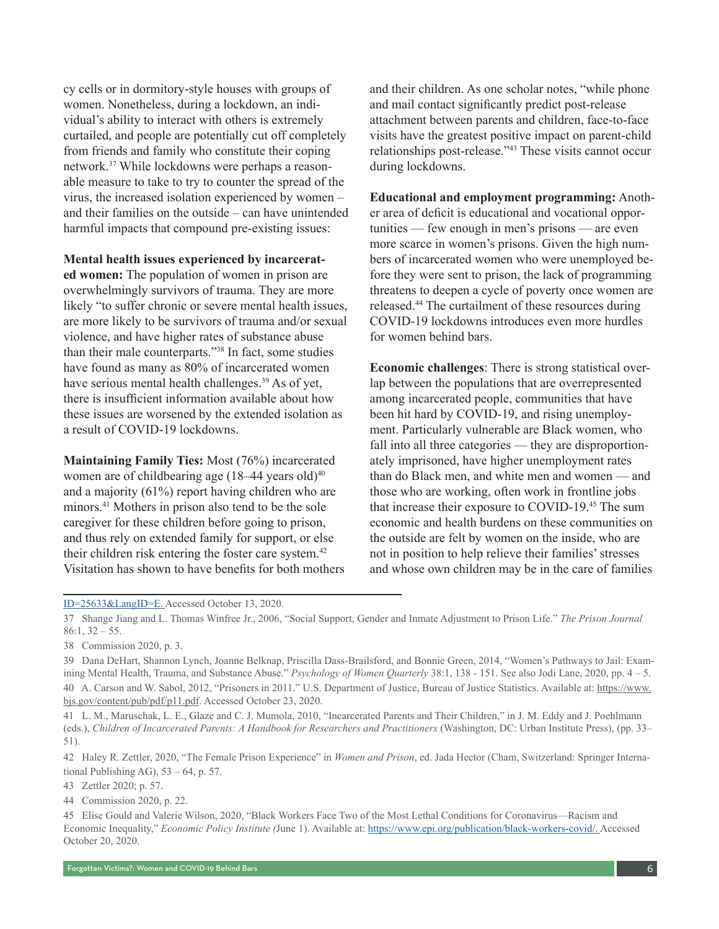cy cells or in dormitory-style houses with groups of women. Nonetheless, during a lockdown, an individual's ability to interact with others is extremely curtailed, and people are potentially cut off completely from friends and family who constitute their coping network.37 While lockdowns were perhaps a reasonable measure to take to try to counter the spread of the virus, the increased isolation experienced by women – and their families on the outside – can have unintended harmful impacts that compound pre-existing issues:

**Mental health issues experienced by incarcerat-**

**ed women:** The population of women in prison are overwhelmingly survivors of trauma. They are more likely "to suffer chronic or severe mental health issues, are more likely to be survivors of trauma and/or sexual violence, and have higher rates of substance abuse than their male counterparts."38 In fact, some studies have found as many as 80% of incarcerated women have serious mental health challenges.<sup>39</sup> As of yet, there is insufficient information available about how these issues are worsened by the extended isolation as a result of COVID-19 lockdowns.

**Maintaining Family Ties:** Most (76%) incarcerated women are of childbearing age  $(18-44 \text{ years old})^{40}$ and a majority (61%) report having children who are minors.41 Mothers in prison also tend to be the sole caregiver for these children before going to prison, and thus rely on extended family for support, or else their children risk entering the foster care system.<sup>42</sup> Visitation has shown to have benefits for both mothers and their children. As one scholar notes, "while phone and mail contact significantly predict post-release attachment between parents and children, face-to-face visits have the greatest positive impact on parent-child relationships post-release."<sup>43</sup> These visits cannot occur during lockdowns.

**Educational and employment programming:** Another area of deficit is educational and vocational opportunities — few enough in men's prisons — are even more scarce in women's prisons. Given the high numbers of incarcerated women who were unemployed before they were sent to prison, the lack of programming threatens to deepen a cycle of poverty once women are released.<sup>44</sup> The curtailment of these resources during COVID-19 lockdowns introduces even more hurdles for women behind bars.

**Economic challenges**: There is strong statistical overlap between the populations that are overrepresented among incarcerated people, communities that have been hit hard by COVID-19, and rising unemployment. Particularly vulnerable are Black women, who fall into all three categories — they are disproportionately imprisoned, have higher unemployment rates than do Black men, and white men and women — and those who are working, often work in frontline jobs that increase their exposure to COVID-19.<sup>45</sup> The sum economic and health burdens on these communities on the outside are felt by women on the inside, who are not in position to help relieve their families' stresses and whose own children may be in the care of families

43 Zettler 2020; p. 57.

ID=25633&LangID=E. Accessed October 13, 2020.

<sup>37</sup> Shange Jiang and L. Thomas Winfree Jr., 2006, "Social Support, Gender and Inmate Adjustment to Prison Life." *The Prison Journal*   $86:1, 32 - 55.$ 

<sup>38</sup> Commission 2020, p. 3.

<sup>39</sup> Dana DeHart, Shannon Lynch, Joanne Belknap, Priscilla Dass-Brailsford, and Bonnie Green, 2014, "Women's Pathways to Jail: Examining Mental Health, Trauma, and Substance Abuse." *Psychology of Women Quarterly* 38:1, 138 - 151. See also Jodi Lane, 2020, pp. 4 – 5. 40 A. Carson and W. Sabol, 2012, "Prisoners in 2011." U.S. Department of Justice, Bureau of Justice Statistics. Available at: https://www. bjs.gov/content/pub/pdf/p11.pdf. Accessed October 23, 2020.

<sup>41</sup> L. M., Maruschak, L. E., Glaze and C. J. Mumola, 2010, "Incarcerated Parents and Their Children," in J. M. Eddy and J. Poehlmann (eds.), *Children of Incarcerated Parents: A Handbook for Researchers and Practitioners* (Washington, DC: Urban Institute Press), (pp. 33– 51).

<sup>42</sup> Haley R. Zettler, 2020, "The Female Prison Experience" in *Women and Prison*, ed. Jada Hector (Cham, Switzerland: Springer International Publishing AG),  $53 - 64$ , p. 57.

<sup>44</sup> Commission 2020, p. 22.

<sup>45</sup> Elise Gould and Valerie Wilson, 2020, "Black Workers Face Two of the Most Lethal Conditions for Coronavirus—Racism and Economic Inequality," *Economic Policy Institute (*June 1). Available at: https://www.epi.org/publication/black-workers-covid/. Accessed October 20, 2020.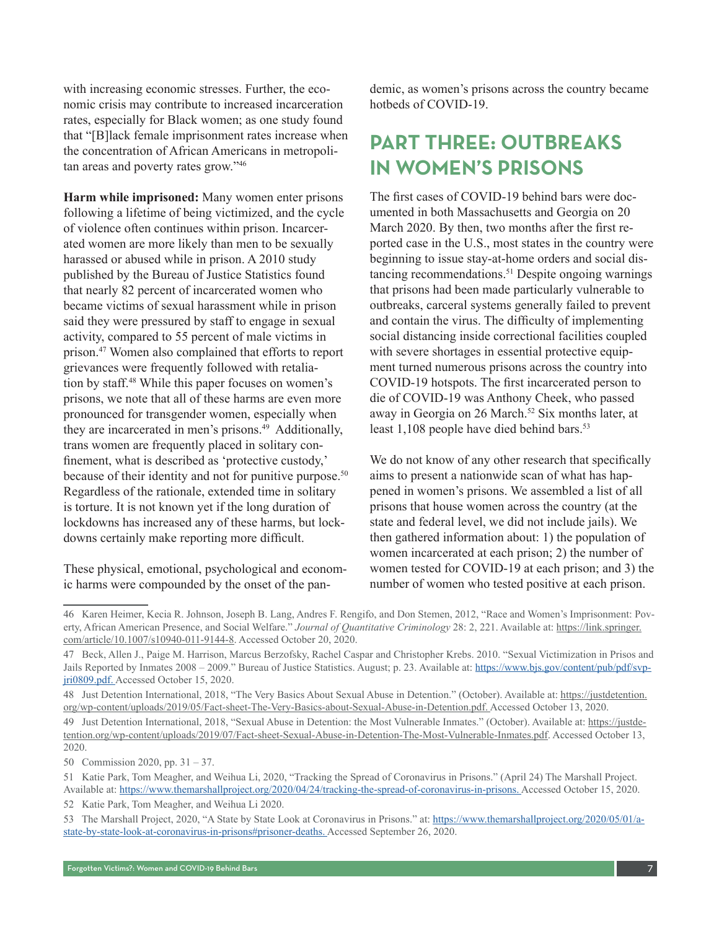with increasing economic stresses. Further, the economic crisis may contribute to increased incarceration rates, especially for Black women; as one study found that "[B]lack female imprisonment rates increase when the concentration of African Americans in metropolitan areas and poverty rates grow."<sup>46</sup>

**Harm while imprisoned:** Many women enter prisons following a lifetime of being victimized, and the cycle of violence often continues within prison. Incarcerated women are more likely than men to be sexually harassed or abused while in prison. A 2010 study published by the Bureau of Justice Statistics found that nearly 82 percent of incarcerated women who became victims of sexual harassment while in prison said they were pressured by staff to engage in sexual activity, compared to 55 percent of male victims in prison.47 Women also complained that efforts to report grievances were frequently followed with retaliation by staff.48 While this paper focuses on women's prisons, we note that all of these harms are even more pronounced for transgender women, especially when they are incarcerated in men's prisons.<sup>49</sup> Additionally, trans women are frequently placed in solitary confinement, what is described as 'protective custody,' because of their identity and not for punitive purpose.<sup>50</sup> Regardless of the rationale, extended time in solitary is torture. It is not known yet if the long duration of lockdowns has increased any of these harms, but lockdowns certainly make reporting more difficult.

These physical, emotional, psychological and economic harms were compounded by the onset of the pandemic, as women's prisons across the country became hotbeds of COVID-19.

## **PART THREE: OUTBREAKS IN WOMEN'S PRISONS**

The first cases of COVID-19 behind bars were documented in both Massachusetts and Georgia on 20 March 2020. By then, two months after the first reported case in the U.S., most states in the country were beginning to issue stay-at-home orders and social distancing recommendations.<sup>51</sup> Despite ongoing warnings that prisons had been made particularly vulnerable to outbreaks, carceral systems generally failed to prevent and contain the virus. The difficulty of implementing social distancing inside correctional facilities coupled with severe shortages in essential protective equipment turned numerous prisons across the country into COVID-19 hotspots. The first incarcerated person to die of COVID-19 was Anthony Cheek, who passed away in Georgia on 26 March.<sup>52</sup> Six months later, at least 1,108 people have died behind bars.<sup>53</sup>

We do not know of any other research that specifically aims to present a nationwide scan of what has happened in women's prisons. We assembled a list of all prisons that house women across the country (at the state and federal level, we did not include jails). We then gathered information about: 1) the population of women incarcerated at each prison; 2) the number of women tested for COVID-19 at each prison; and 3) the number of women who tested positive at each prison.

<sup>46</sup> Karen Heimer, Kecia R. Johnson, Joseph B. Lang, Andres F. Rengifo, and Don Stemen, 2012, "Race and Women's Imprisonment: Poverty, African American Presence, and Social Welfare." *Journal of Quantitative Criminology* 28: 2, 221. Available at: https://link.springer. com/article/10.1007/s10940-011-9144-8. Accessed October 20, 2020.

<sup>47</sup> Beck, Allen J., Paige M. Harrison, Marcus Berzofsky, Rachel Caspar and Christopher Krebs. 2010. "Sexual Victimization in Prisos and Jails Reported by Inmates 2008 – 2009." Bureau of Justice Statistics. August; p. 23. Available at: https://www.bjs.gov/content/pub/pdf/svpjri0809.pdf. Accessed October 15, 2020.

<sup>48</sup> Just Detention International, 2018, "The Very Basics About Sexual Abuse in Detention." (October). Available at: https://justdetention. org/wp-content/uploads/2019/05/Fact-sheet-The-Very-Basics-about-Sexual-Abuse-in-Detention.pdf. Accessed October 13, 2020.

<sup>49</sup> Just Detention International, 2018, "Sexual Abuse in Detention: the Most Vulnerable Inmates." (October). Available at: https://justdetention.org/wp-content/uploads/2019/07/Fact-sheet-Sexual-Abuse-in-Detention-The-Most-Vulnerable-Inmates.pdf. Accessed October 13, 2020.

<sup>50</sup> Commission 2020, pp. 31 – 37.

<sup>51</sup> Katie Park, Tom Meagher, and Weihua Li, 2020, "Tracking the Spread of Coronavirus in Prisons." (April 24) The Marshall Project. Available at: https://www.themarshallproject.org/2020/04/24/tracking-the-spread-of-coronavirus-in-prisons. Accessed October 15, 2020.

<sup>52</sup> Katie Park, Tom Meagher, and Weihua Li 2020.

<sup>53</sup> The Marshall Project, 2020, "A State by State Look at Coronavirus in Prisons." at: https://www.themarshallproject.org/2020/05/01/astate-by-state-look-at-coronavirus-in-prisons#prisoner-deaths. Accessed September 26, 2020.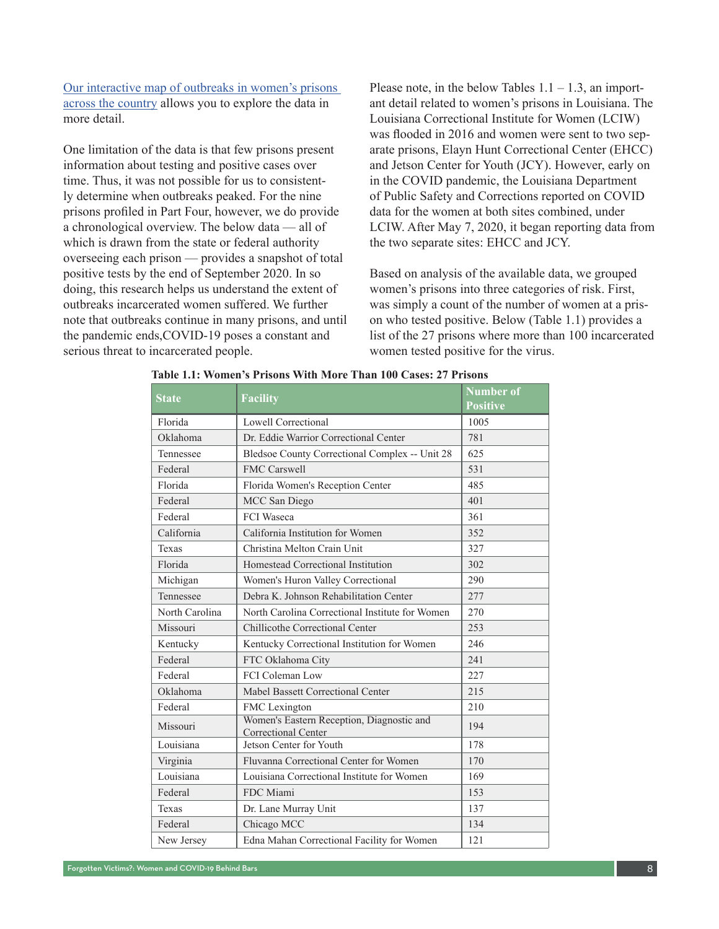[Our interactive map of outbreaks in women's prisons](https://www.arcgis.com/home/webmap/viewer.html?webmap=19191b92ed3248eea78d43162d2367dc&extent=-141.7224,16.9568,-55.5896,54.1012)  [across the country](https://www.arcgis.com/home/webmap/viewer.html?webmap=19191b92ed3248eea78d43162d2367dc&extent=-141.7224,16.9568,-55.5896,54.1012) allows you to explore the data in more detail.

One limitation of the data is that few prisons present information about testing and positive cases over time. Thus, it was not possible for us to consistently determine when outbreaks peaked. For the nine prisons profiled in Part Four, however, we do provide a chronological overview. The below data — all of which is drawn from the state or federal authority overseeing each prison — provides a snapshot of total positive tests by the end of September 2020. In so doing, this research helps us understand the extent of outbreaks incarcerated women suffered. We further note that outbreaks continue in many prisons, and until the pandemic ends,COVID-19 poses a constant and serious threat to incarcerated people.

Please note, in the below Tables  $1.1 - 1.3$ , an important detail related to women's prisons in Louisiana. The Louisiana Correctional Institute for Women (LCIW) was flooded in 2016 and women were sent to two separate prisons, Elayn Hunt Correctional Center (EHCC) and Jetson Center for Youth (JCY). However, early on in the COVID pandemic, the Louisiana Department of Public Safety and Corrections reported on COVID data for the women at both sites combined, under LCIW. After May 7, 2020, it began reporting data from the two separate sites: EHCC and JCY.

Based on analysis of the available data, we grouped women's prisons into three categories of risk. First, was simply a count of the number of women at a prison who tested positive. Below (Table 1.1) provides a list of the 27 prisons where more than 100 incarcerated women tested positive for the virus.

| <b>State</b>   | <b>Facility</b>                                                         | <b>Number of</b><br><b>Positive</b> |  |  |
|----------------|-------------------------------------------------------------------------|-------------------------------------|--|--|
| Florida        | Lowell Correctional                                                     | 1005                                |  |  |
| Oklahoma       | Dr. Eddie Warrior Correctional Center                                   | 781                                 |  |  |
| Tennessee      | Bledsoe County Correctional Complex -- Unit 28                          | 625                                 |  |  |
| Federal        | <b>FMC Carswell</b>                                                     | 531                                 |  |  |
| Florida        | Florida Women's Reception Center                                        | 485                                 |  |  |
| Federal        | MCC San Diego                                                           | 401                                 |  |  |
| Federal        | <b>FCI</b> Waseca                                                       | 361                                 |  |  |
| California     | California Institution for Women                                        | 352                                 |  |  |
| Texas          | Christina Melton Crain Unit                                             | 327                                 |  |  |
| Florida        | Homestead Correctional Institution                                      | 302                                 |  |  |
| Michigan       | Women's Huron Valley Correctional                                       | 290                                 |  |  |
| Tennessee      | Debra K. Johnson Rehabilitation Center                                  | 277                                 |  |  |
| North Carolina | North Carolina Correctional Institute for Women                         | 270                                 |  |  |
| Missouri       | Chillicothe Correctional Center                                         | 253                                 |  |  |
| Kentucky       | Kentucky Correctional Institution for Women                             | 246                                 |  |  |
| Federal        | FTC Oklahoma City                                                       | 241                                 |  |  |
| Federal        | FCI Coleman Low                                                         | 227                                 |  |  |
| Oklahoma       | Mabel Bassett Correctional Center                                       | 215                                 |  |  |
| Federal        | FMC Lexington                                                           | 210                                 |  |  |
| Missouri       | Women's Eastern Reception, Diagnostic and<br><b>Correctional Center</b> | 194                                 |  |  |
| Louisiana      | Jetson Center for Youth                                                 | 178                                 |  |  |
| Virginia       | Fluvanna Correctional Center for Women                                  | 170                                 |  |  |
| Louisiana      | Louisiana Correctional Institute for Women                              | 169                                 |  |  |
| Federal        | FDC Miami                                                               | 153                                 |  |  |
| Texas          | Dr. Lane Murray Unit                                                    | 137                                 |  |  |
| Federal        | Chicago MCC                                                             | 134                                 |  |  |
| New Jersey     | Edna Mahan Correctional Facility for Women                              | 121                                 |  |  |

#### **Table 1.1: Women's Prisons With More Than 100 Cases: 27 Prisons**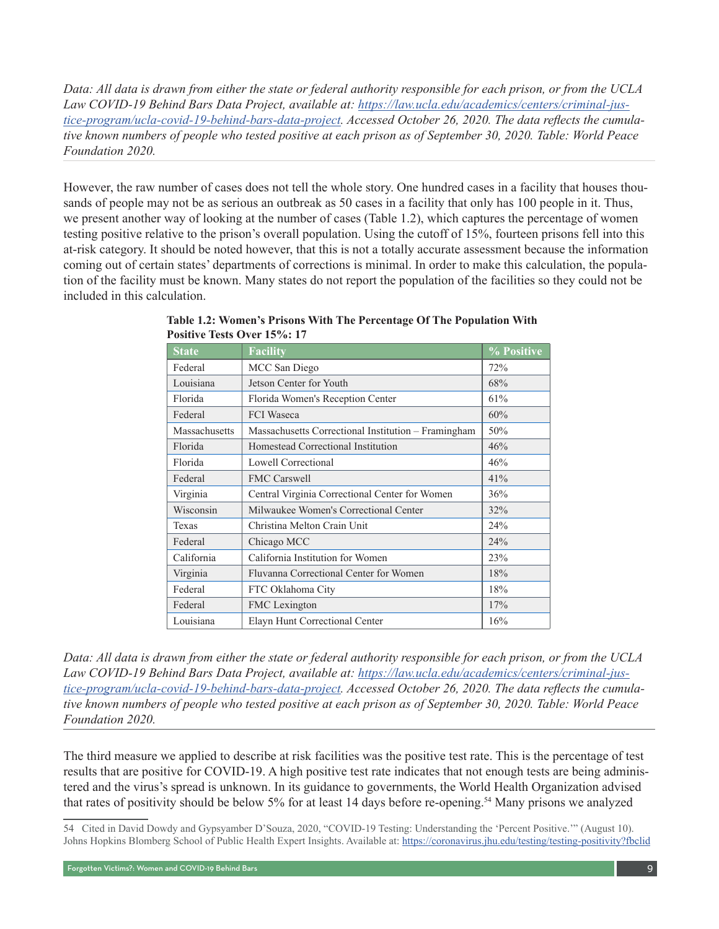*Data: All data is drawn from either the state or federal authority responsible for each prison, or from the UCLA Law COVID-19 Behind Bars Data Project, available at: [https://law.ucla.edu/academics/centers/criminal-jus](https://law.ucla.edu/academics/centers/criminal-justice-program/ucla-covid-19-behind-bars-data-project)[tice-program/ucla-covid-19-behind-bars-data-project](https://law.ucla.edu/academics/centers/criminal-justice-program/ucla-covid-19-behind-bars-data-project). Accessed October 26, 2020. The data reflects the cumulative known numbers of people who tested positive at each prison as of September 30, 2020. Table: World Peace Foundation 2020.* 

However, the raw number of cases does not tell the whole story. One hundred cases in a facility that houses thousands of people may not be as serious an outbreak as 50 cases in a facility that only has 100 people in it. Thus, we present another way of looking at the number of cases (Table 1.2), which captures the percentage of women testing positive relative to the prison's overall population. Using the cutoff of 15%, fourteen prisons fell into this at-risk category. It should be noted however, that this is not a totally accurate assessment because the information coming out of certain states' departments of corrections is minimal. In order to make this calculation, the population of the facility must be known. Many states do not report the population of the facilities so they could not be included in this calculation.

| <b>State</b>  | <b>Facility</b>                                     | % Positive |
|---------------|-----------------------------------------------------|------------|
| Federal       | MCC San Diego                                       | 72%        |
| Louisiana     | Jetson Center for Youth                             | 68%        |
| Florida       | Florida Women's Reception Center                    | 61%        |
| Federal       | <b>FCI</b> Waseca                                   | 60%        |
| Massachusetts | Massachusetts Correctional Institution - Framingham | 50%        |
| Florida       | Homestead Correctional Institution                  | 46%        |
| Florida       | Lowell Correctional                                 | 46%        |
| Federal       | <b>FMC Carswell</b>                                 | 41%        |
| Virginia      | Central Virginia Correctional Center for Women      | 36%        |
| Wisconsin     | Milwaukee Women's Correctional Center               | 32%        |
| Texas         | Christina Melton Crain Unit                         | 24%        |
| Federal       | Chicago MCC                                         | 24%        |
| California    | California Institution for Women                    | 23%        |
| Virginia      | Fluvanna Correctional Center for Women              | 18%        |
| Federal       | FTC Oklahoma City                                   | 18%        |
| Federal       | <b>FMC</b> Lexington                                | 17%        |
| Louisiana     | Elayn Hunt Correctional Center                      | 16%        |

**Table 1.2: Women's Prisons With The Percentage Of The Population With Positive Tests Over 15%: 17** 

*Data: All data is drawn from either the state or federal authority responsible for each prison, or from the UCLA Law COVID-19 Behind Bars Data Project, available at: [https://law.ucla.edu/academics/centers/criminal-jus](https://law.ucla.edu/academics/centers/criminal-justice-program/ucla-covid-19-behind-bars-data-project)[tice-program/ucla-covid-19-behind-bars-data-project](https://law.ucla.edu/academics/centers/criminal-justice-program/ucla-covid-19-behind-bars-data-project). Accessed October 26, 2020. The data reflects the cumulative known numbers of people who tested positive at each prison as of September 30, 2020. Table: World Peace Foundation 2020.*

The third measure we applied to describe at risk facilities was the positive test rate. This is the percentage of test results that are positive for COVID-19. A high positive test rate indicates that not enough tests are being administered and the virus's spread is unknown. In its guidance to governments, the World Health Organization advised that rates of positivity should be below 5% for at least 14 days before re-opening.<sup>54</sup> Many prisons we analyzed

<sup>54</sup> Cited in David Dowdy and Gypsyamber D'Souza, 2020, "COVID-19 Testing: Understanding the 'Percent Positive.'" (August 10). Johns Hopkins Blomberg School of Public Health Expert Insights. Available at: [https://coronavirus.jhu.edu/testing/testing-positivity?fbclid](https://coronavirus.jhu.edu/testing/testing-positivity?fbclid=IwAR0aJYLyhEX10q54hU-ptt11n2o-xTmCtPLkiFmmxvGICKEcOWEDWYK_Yvo)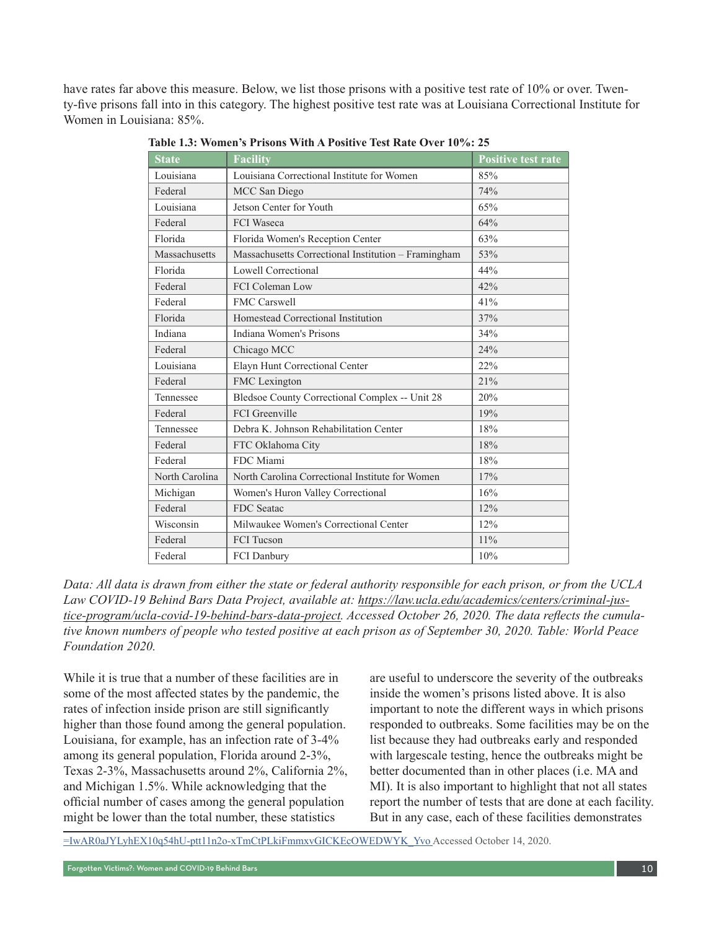have rates far above this measure. Below, we list those prisons with a positive test rate of 10% or over. Twenty-five prisons fall into in this category. The highest positive test rate was at Louisiana Correctional Institute for Women in Louisiana: 85%.

| <b>State</b>   | <b>Facility</b>                                     | <b>Positive test rate</b> |
|----------------|-----------------------------------------------------|---------------------------|
| Louisiana      | Louisiana Correctional Institute for Women          | 85%                       |
| Federal        | MCC San Diego                                       | 74%                       |
| Louisiana      | Jetson Center for Youth                             | 65%                       |
| Federal        | <b>FCI</b> Waseca                                   | 64%                       |
| Florida        | Florida Women's Reception Center                    | 63%                       |
| Massachusetts  | Massachusetts Correctional Institution - Framingham | 53%                       |
| Florida        | Lowell Correctional                                 | 44%                       |
| Federal        | <b>FCI Coleman Low</b>                              | 42%                       |
| Federal        | <b>FMC Carswell</b>                                 | 41%                       |
| Florida        | Homestead Correctional Institution                  | 37%                       |
| Indiana        | Indiana Women's Prisons                             | 34%                       |
| Federal        | Chicago MCC                                         | 24%                       |
| Louisiana      | Elayn Hunt Correctional Center                      | 22%                       |
| Federal        | FMC Lexington                                       | 21%                       |
| Tennessee      | Bledsoe County Correctional Complex -- Unit 28      | 20%                       |
| Federal        | <b>FCI</b> Greenville                               | 19%                       |
| Tennessee      | Debra K. Johnson Rehabilitation Center              | 18%                       |
| Federal        | FTC Oklahoma City                                   | 18%                       |
| Federal        | FDC Miami                                           | 18%                       |
| North Carolina | North Carolina Correctional Institute for Women     | 17%                       |
| Michigan       | Women's Huron Valley Correctional                   | 16%                       |
| Federal        | <b>FDC</b> Seatac                                   | 12%                       |
| Wisconsin      | Milwaukee Women's Correctional Center               | 12%                       |
| Federal        | <b>FCI</b> Tucson                                   | 11%                       |
| Federal        | FCI Danbury                                         | 10%                       |

**Table 1.3: Women's Prisons With A Positive Test Rate Over 10%: 25** 

*Data: All data is drawn from either the state or federal authority responsible for each prison, or from the UCLA Law COVID-19 Behind Bars Data Project, available at: [https://law.ucla.edu/academics/centers/criminal-jus](https://law.ucla.edu/academics/centers/criminal-justice-program/ucla-covid-19-behind-bars-data-project)[tice-program/ucla-covid-19-behind-bars-data-project](https://law.ucla.edu/academics/centers/criminal-justice-program/ucla-covid-19-behind-bars-data-project). Accessed October 26, 2020. The data reflects the cumulative known numbers of people who tested positive at each prison as of September 30, 2020. Table: World Peace Foundation 2020.*

While it is true that a number of these facilities are in some of the most affected states by the pandemic, the rates of infection inside prison are still significantly higher than those found among the general population. Louisiana, for example, has an infection rate of 3-4% among its general population, Florida around 2-3%, Texas 2-3%, Massachusetts around 2%, California 2%, and Michigan 1.5%. While acknowledging that the official number of cases among the general population might be lower than the total number, these statistics

are useful to underscore the severity of the outbreaks inside the women's prisons listed above. It is also important to note the different ways in which prisons responded to outbreaks. Some facilities may be on the list because they had outbreaks early and responded with largescale testing, hence the outbreaks might be better documented than in other places (i.e. MA and MI). It is also important to highlight that not all states report the number of tests that are done at each facility. But in any case, each of these facilities demonstrates

[=IwAR0aJYLyhEX10q54hU-ptt11n2o-xTmCtPLkiFmmxvGICKEcOWEDWYK\\_Yvo](https://coronavirus.jhu.edu/testing/testing-positivity?fbclid=IwAR0aJYLyhEX10q54hU-ptt11n2o-xTmCtPLkiFmmxvGICKEcOWEDWYK_Yvo) Accessed October 14, 2020.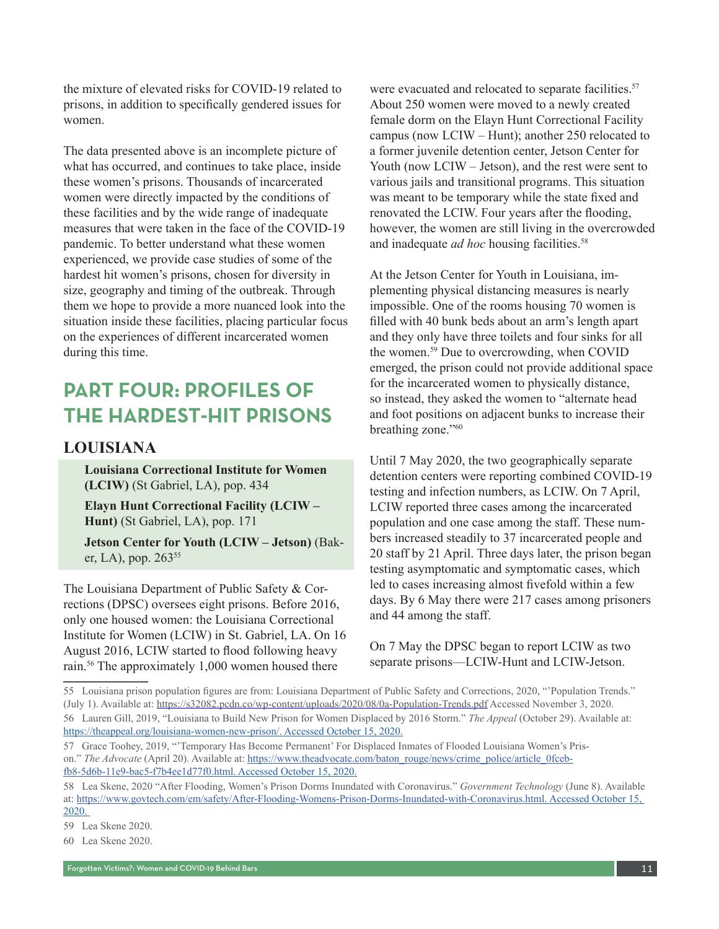the mixture of elevated risks for COVID-19 related to prisons, in addition to specifically gendered issues for women.

The data presented above is an incomplete picture of what has occurred, and continues to take place, inside these women's prisons. Thousands of incarcerated women were directly impacted by the conditions of these facilities and by the wide range of inadequate measures that were taken in the face of the COVID-19 pandemic. To better understand what these women experienced, we provide case studies of some of the hardest hit women's prisons, chosen for diversity in size, geography and timing of the outbreak. Through them we hope to provide a more nuanced look into the situation inside these facilities, placing particular focus on the experiences of different incarcerated women during this time.

## **PART FOUR: PROFILES OF THE HARDEST-HIT PRISONS**

#### **LOUISIANA**

**Louisiana Correctional Institute for Women (LCIW)** (St Gabriel, LA), pop. 434

**Elayn Hunt Correctional Facility (LCIW – Hunt)** (St Gabriel, LA), pop. 171

**Jetson Center for Youth (LCIW – Jetson)** (Baker, LA), pop.  $263^{55}$ 

The Louisiana Department of Public Safety & Corrections (DPSC) oversees eight prisons. Before 2016, only one housed women: the Louisiana Correctional Institute for Women (LCIW) in St. Gabriel, LA. On 16 August 2016, LCIW started to flood following heavy rain.<sup>56</sup> The approximately 1,000 women housed there

were evacuated and relocated to separate facilities.<sup>57</sup> About 250 women were moved to a newly created female dorm on the Elayn Hunt Correctional Facility campus (now LCIW – Hunt); another 250 relocated to a former juvenile detention center, Jetson Center for Youth (now LCIW – Jetson), and the rest were sent to various jails and transitional programs. This situation was meant to be temporary while the state fixed and renovated the LCIW. Four years after the flooding, however, the women are still living in the overcrowded and inadequate *ad hoc* housing facilities.<sup>58</sup>

At the Jetson Center for Youth in Louisiana, implementing physical distancing measures is nearly impossible. One of the rooms housing 70 women is filled with 40 bunk beds about an arm's length apart and they only have three toilets and four sinks for all the women.59 Due to overcrowding, when COVID emerged, the prison could not provide additional space for the incarcerated women to physically distance, so instead, they asked the women to "alternate head and foot positions on adjacent bunks to increase their breathing zone."60

Until 7 May 2020, the two geographically separate detention centers were reporting combined COVID-19 testing and infection numbers, as LCIW. On 7 April, LCIW reported three cases among the incarcerated population and one case among the staff. These numbers increased steadily to 37 incarcerated people and 20 staff by 21 April. Three days later, the prison began testing asymptomatic and symptomatic cases, which led to cases increasing almost fivefold within a few days. By 6 May there were 217 cases among prisoners and 44 among the staff.

On 7 May the DPSC began to report LCIW as two separate prisons—LCIW-Hunt and LCIW-Jetson.

<sup>55</sup> Louisiana prison population figures are from: Louisiana Department of Public Safety and Corrections, 2020, "'Population Trends." (July 1). Available at: <https://s32082.pcdn.co/wp-content/uploads/2020/08/0a-Population-Trends.pdf> Accessed November 3, 2020. 56 Lauren Gill, 2019, "Louisiana to Build New Prison for Women Displaced by 2016 Storm." *The Appeal* (October 29). Available at: https://theappeal.org/louisiana-women-new-prison/. Accessed October 15, 2020.

<sup>57</sup> Grace Toohey, 2019, "'Temporary Has Become Permanent' For Displaced Inmates of Flooded Louisiana Women's Prison." *The Advocate* (April 20). Available at: [https://www.theadvocate.com/baton\\_rouge/news/crime\\_police/article\\_0fceb](https://www.theadvocate.com/baton_rouge/news/crime_police/article_0fcebfb8-5d6b-11e9-bac5-f7b4ee1d77f0.html)[fb8-5d6b-11e9-bac5-f7b4ee1d77f0.html.](https://www.theadvocate.com/baton_rouge/news/crime_police/article_0fcebfb8-5d6b-11e9-bac5-f7b4ee1d77f0.html) Accessed October 15, 2020.

<sup>58</sup> Lea Skene, 2020 "After Flooding, Women's Prison Dorms Inundated with Coronavirus." *Government Technology* (June 8). Available at: [https://www.govtech.com/em/safety/After-Flooding-Womens-Prison-Dorms-Inundated-with-Coronavirus.html.](https://www.govtech.com/em/safety/After-Flooding-Womens-Prison-Dorms-Inundated-with-Coronavirus.html) Accessed October 15, 2020.

<sup>59</sup> Lea Skene 2020.

<sup>60</sup> Lea Skene 2020.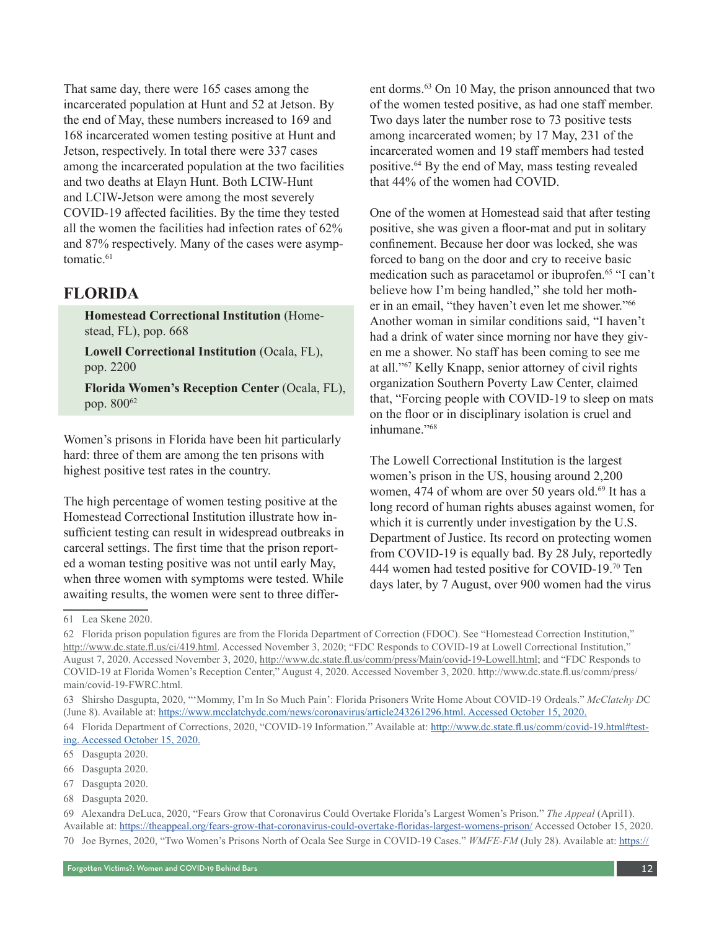That same day, there were 165 cases among the incarcerated population at Hunt and 52 at Jetson. By the end of May, these numbers increased to 169 and 168 incarcerated women testing positive at Hunt and Jetson, respectively. In total there were 337 cases among the incarcerated population at the two facilities and two deaths at Elayn Hunt. Both LCIW-Hunt and LCIW-Jetson were among the most severely COVID-19 affected facilities. By the time they tested all the women the facilities had infection rates of 62% and 87% respectively. Many of the cases were asymptomatic.<sup>61</sup>

#### **FLORIDA**

**Homestead Correctional Institution** (Homestead, FL), pop. 668

**Lowell Correctional Institution** (Ocala, FL), pop. 2200

**Florida Women's Reception Center** (Ocala, FL), pop. 800<sup>62</sup>

Women's prisons in Florida have been hit particularly hard: three of them are among the ten prisons with highest positive test rates in the country.

The high percentage of women testing positive at the Homestead Correctional Institution illustrate how insufficient testing can result in widespread outbreaks in carceral settings. The first time that the prison reported a woman testing positive was not until early May, when three women with symptoms were tested. While awaiting results, the women were sent to three different dorms.<sup>63</sup> On 10 May, the prison announced that two of the women tested positive, as had one staff member. Two days later the number rose to 73 positive tests among incarcerated women; by 17 May, 231 of the incarcerated women and 19 staff members had tested positive.<sup>64</sup> By the end of May, mass testing revealed that 44% of the women had COVID.

One of the women at Homestead said that after testing positive, she was given a floor-mat and put in solitary confinement. Because her door was locked, she was forced to bang on the door and cry to receive basic medication such as paracetamol or ibuprofen.<sup>65</sup> "I can't believe how I'm being handled," she told her mother in an email, "they haven't even let me shower."<sup>66</sup> Another woman in similar conditions said, "I haven't had a drink of water since morning nor have they given me a shower. No staff has been coming to see me at all."67 Kelly Knapp, senior attorney of civil rights organization Southern Poverty Law Center, claimed that, "Forcing people with COVID-19 to sleep on mats on the floor or in disciplinary isolation is cruel and inhumane."68

The Lowell Correctional Institution is the largest women's prison in the US, housing around 2,200 women, 474 of whom are over 50 years old.<sup>69</sup> It has a long record of human rights abuses against women, for which it is currently under investigation by the U.S. Department of Justice. Its record on protecting women from COVID-19 is equally bad. By 28 July, reportedly 444 women had tested positive for COVID-19.70 Ten days later, by 7 August, over 900 women had the virus

- 67 Dasgupta 2020.
- 68 Dasgupta 2020.

<sup>61</sup> Lea Skene 2020.

<sup>62</sup> Florida prison population figures are from the Florida Department of Correction (FDOC). See "Homestead Correction Institution," <http://www.dc.state.fl.us/ci/419.html>. Accessed November 3, 2020; "FDC Responds to COVID-19 at Lowell Correctional Institution," August 7, 2020. Accessed November 3, 2020, [http://www.dc.state.fl.us/comm/press/Main/covid-19-Lowell.html;](http://www.dc.state.fl.us/comm/press/Main/covid-19-Lowell.html) and "FDC Responds to COVID-19 at Florida Women's Reception Center," August 4, 2020. Accessed November 3, 2020. http://www.dc.state.fl.us/comm/press/ main/covid-19-FWRC.html.

<sup>63</sup> Shirsho Dasgupta, 2020, "'Mommy, I'm In So Much Pain': Florida Prisoners Write Home About COVID-19 Ordeals." *McClatchy D*C (June 8). Available at: https://www.mcclatchydc.com/news/coronavirus/article243261296.html. Accessed October 15, 2020.

<sup>64</sup> Florida Department of Corrections, 2020, "COVID-19 Information." Available at: http://www.dc.state.fl.us/comm/covid-19.html#testing. Accessed October 15, 2020.

<sup>65</sup> Dasgupta 2020.

<sup>66</sup> Dasgupta 2020.

<sup>69</sup> Alexandra DeLuca, 2020, "Fears Grow that Coronavirus Could Overtake Florida's Largest Women's Prison." *The Appeal* (April1). Available at: <https://theappeal.org/fears-grow-that-coronavirus-could-overtake-floridas-largest-womens-prison/>Accessed October 15, 2020. 70 Joe Byrnes, 2020, "Two Women's Prisons North of Ocala See Surge in COVID-19 Cases." *WMFE-FM* (July 28). Available at: [https://](https://www.wmfe.org/two-womens-prisons-north-of-ocala-see-surge-in-covid-19-cases/160401 Accessed October 15)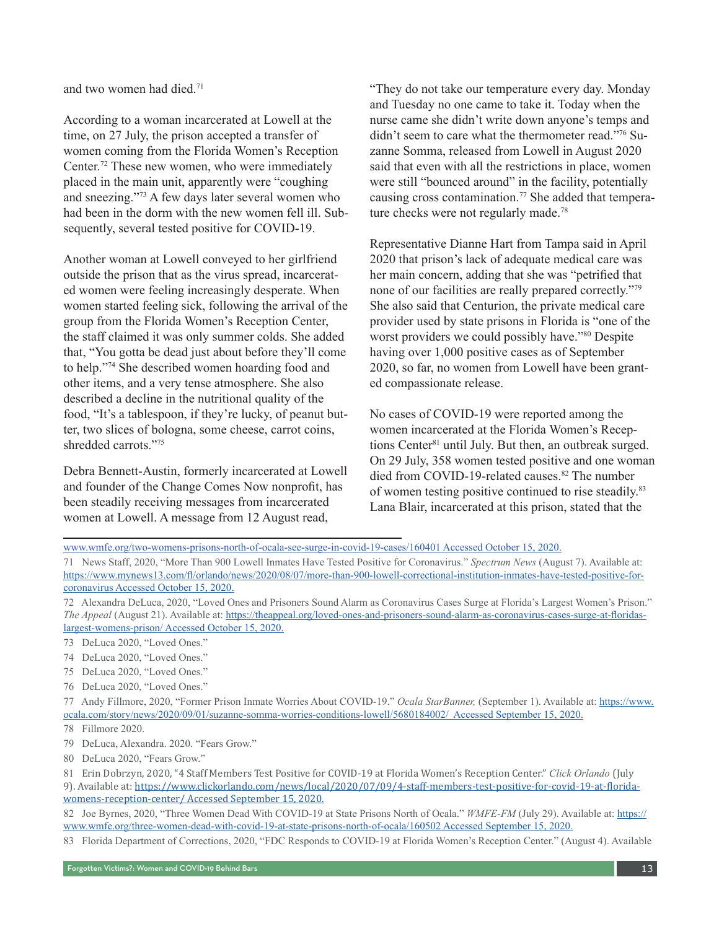and two women had died.71

According to a woman incarcerated at Lowell at the time, on 27 July, the prison accepted a transfer of women coming from the Florida Women's Reception Center.72 These new women, who were immediately placed in the main unit, apparently were "coughing and sneezing."73 A few days later several women who had been in the dorm with the new women fell ill. Subsequently, several tested positive for COVID-19.

Another woman at Lowell conveyed to her girlfriend outside the prison that as the virus spread, incarcerated women were feeling increasingly desperate. When women started feeling sick, following the arrival of the group from the Florida Women's Reception Center, the staff claimed it was only summer colds. She added that, "You gotta be dead just about before they'll come to help."74 She described women hoarding food and other items, and a very tense atmosphere. She also described a decline in the nutritional quality of the food, "It's a tablespoon, if they're lucky, of peanut butter, two slices of bologna, some cheese, carrot coins, shredded carrots."75

Debra Bennett-Austin, formerly incarcerated at Lowell and founder of the Change Comes Now nonprofit, has been steadily receiving messages from incarcerated women at Lowell. A message from 12 August read,

"They do not take our temperature every day. Monday and Tuesday no one came to take it. Today when the nurse came she didn't write down anyone's temps and didn't seem to care what the thermometer read."76 Suzanne Somma, released from Lowell in August 2020 said that even with all the restrictions in place, women were still "bounced around" in the facility, potentially causing cross contamination.<sup>77</sup> She added that temperature checks were not regularly made.<sup>78</sup>

Representative Dianne Hart from Tampa said in April 2020 that prison's lack of adequate medical care was her main concern, adding that she was "petrified that none of our facilities are really prepared correctly."79 She also said that Centurion, the private medical care provider used by state prisons in Florida is "one of the worst providers we could possibly have."<sup>80</sup> Despite having over 1,000 positive cases as of September 2020, so far, no women from Lowell have been granted compassionate release.

No cases of COVID-19 were reported among the women incarcerated at the Florida Women's Receptions Center<sup>81</sup> until July. But then, an outbreak surged. On 29 July, 358 women tested positive and one woman died from COVID-19-related causes.<sup>82</sup> The number of women testing positive continued to rise steadily.83 Lana Blair, incarcerated at this prison, stated that the

[www.wmfe.org/two-womens-prisons-north-of-ocala-see-surge-in-covid-19-cases/160401 Accessed October 15,](https://www.wmfe.org/two-womens-prisons-north-of-ocala-see-surge-in-covid-19-cases/160401 Accessed October 15) 2020.

- 73 DeLuca 2020, "Loved Ones."
- 74 DeLuca 2020, "Loved Ones."
- 75 DeLuca 2020, "Loved Ones."
- 76 DeLuca 2020, "Loved Ones."
- 77 Andy Fillmore, 2020, "Former Prison Inmate Worries About COVID-19." *Ocala StarBanner,* (September 1). Available at: https://www. ocala.com/story/news/2020/09/01/suzanne-somma-worries-conditions-lowell/5680184002/ Accessed September 15, 2020.
- 78 Fillmore 2020.
- 79 DeLuca, Alexandra. 2020. "Fears Grow."
- 80 DeLuca 2020, "Fears Grow."
- 81 Erin Dobrzyn, 2020, "4 Staff Members Test Positive for COVID-19 at Florida Women's Reception Center." *Click Orlando* (July

9). Available at: https://www.clickorlando.com/news/local/2020/07/09/4-staff-members-test-positive-for-covid-19-at-floridawomens-reception-center/ Accessed September 15, 2020.

82 Joe Byrnes, 2020, "Three Women Dead With COVID-19 at State Prisons North of Ocala." *WMFE-FM* (July 29). Available at: https:// www.wmfe.org/three-women-dead-with-covid-19-at-state-prisons-north-of-ocala/160502 Accessed September 15, 2020.

83 Florida Department of Corrections, 2020, "FDC Responds to COVID-19 at Florida Women's Reception Center." (August 4). Available

<sup>71</sup> News Staff, 2020, "More Than 900 Lowell Inmates Have Tested Positive for Coronavirus." *Spectrum News* (August 7). Available at: https://www.mynews13.com/fl/orlando/news/2020/08/07/more-than-900-lowell-correctional-institution-inmates-have-tested-positive-forcoronavirus Accessed October 15, 2020.

<sup>72</sup> Alexandra DeLuca, 2020, "Loved Ones and Prisoners Sound Alarm as Coronavirus Cases Surge at Florida's Largest Women's Prison." *The Appeal* (August 21). Available at: https://theappeal.org/loved-ones-and-prisoners-sound-alarm-as-coronavirus-cases-surge-at-floridaslargest-womens-prison/ Accessed October 15, 2020.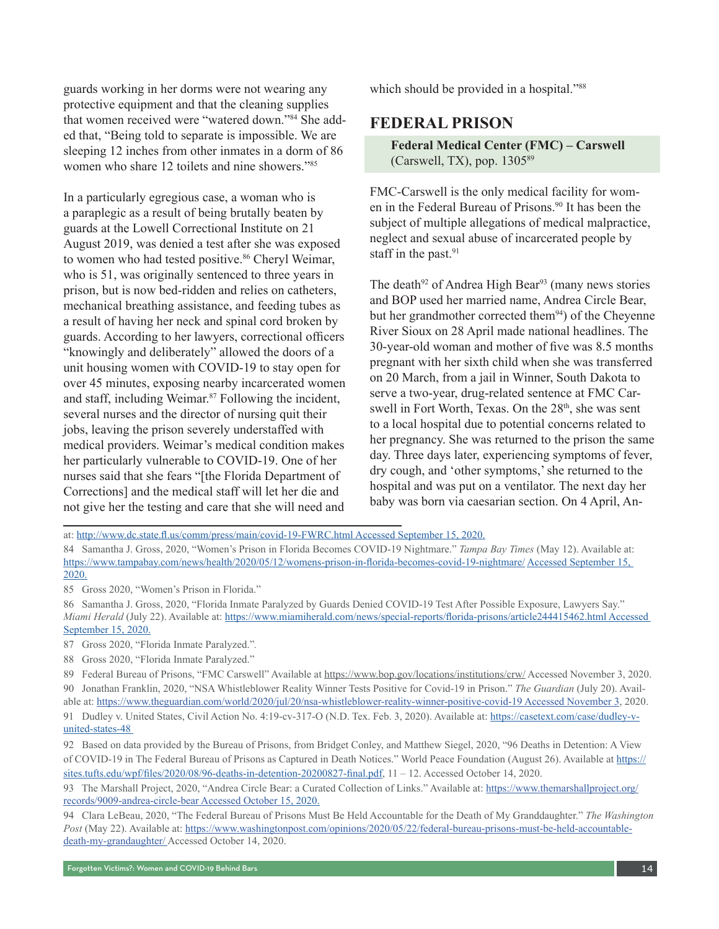guards working in her dorms were not wearing any protective equipment and that the cleaning supplies that women received were "watered down."84 She added that, "Being told to separate is impossible. We are sleeping 12 inches from other inmates in a dorm of 86 women who share 12 toilets and nine showers."85

In a particularly egregious case, a woman who is a paraplegic as a result of being brutally beaten by guards at the Lowell Correctional Institute on 21 August 2019, was denied a test after she was exposed to women who had tested positive.<sup>86</sup> Cheryl Weimar, who is 51, was originally sentenced to three years in prison, but is now bed-ridden and relies on catheters, mechanical breathing assistance, and feeding tubes as a result of having her neck and spinal cord broken by guards. According to her lawyers, correctional officers "knowingly and deliberately" allowed the doors of a unit housing women with COVID-19 to stay open for over 45 minutes, exposing nearby incarcerated women and staff, including Weimar.87 Following the incident, several nurses and the director of nursing quit their jobs, leaving the prison severely understaffed with medical providers. Weimar's medical condition makes her particularly vulnerable to COVID-19. One of her nurses said that she fears "[the Florida Department of Corrections] and the medical staff will let her die and not give her the testing and care that she will need and

which should be provided in a hospital."<sup>88</sup>

#### **FEDERAL PRISON**

**Federal Medical Center (FMC) – Carswell**  (Carswell, TX), pop.  $1305^{89}$ 

FMC-Carswell is the only medical facility for women in the Federal Bureau of Prisons.<sup>90</sup> It has been the subject of multiple allegations of medical malpractice, neglect and sexual abuse of incarcerated people by staff in the past.<sup>91</sup>

The death<sup>92</sup> of Andrea High Bear<sup>93</sup> (many news stories and BOP used her married name, Andrea Circle Bear, but her grandmother corrected them<sup>94</sup>) of the Cheyenne River Sioux on 28 April made national headlines. The 30-year-old woman and mother of five was 8.5 months pregnant with her sixth child when she was transferred on 20 March, from a jail in Winner, South Dakota to serve a two-year, drug-related sentence at FMC Carswell in Fort Worth, Texas. On the 28<sup>th</sup>, she was sent to a local hospital due to potential concerns related to her pregnancy. She was returned to the prison the same day. Three days later, experiencing symptoms of fever, dry cough, and 'other symptoms,' she returned to the hospital and was put on a ventilator. The next day her baby was born via caesarian section. On 4 April, An-

85 Gross 2020, "Women's Prison in Florida."

- 86 Samantha J. Gross, 2020, "Florida Inmate Paralyzed by Guards Denied COVID-19 Test After Possible Exposure, Lawyers Say." *Miami Herald* (July 22). Available at: https://www.miamiherald.com/news/special-reports/florida-prisons/article244415462.html Accessed September 15, 2020.
- 87 Gross 2020, "Florida Inmate Paralyzed."*.*
- 88 Gross 2020, "Florida Inmate Paralyzed."

at: http://www.dc.state.fl.us/comm/press/main/covid-19-FWRC.html Accessed September 15, 2020.

<sup>84</sup> Samantha J. Gross, 2020, "Women's Prison in Florida Becomes COVID-19 Nightmare." *Tampa Bay Times* (May 12). Available at: https://www.tampabay.com/news/health/2020/05/12/womens-prison-in-florida-becomes-covid-19-nightmare/ Accessed September 15, 2020.

<sup>89</sup> Federal Bureau of Prisons, "FMC Carswell" Available at<https://www.bop.gov/locations/institutions/crw/>Accessed November 3, 2020. 90 Jonathan Franklin, 2020, "NSA Whistleblower Reality Winner Tests Positive for Covid-19 in Prison." *The Guardian* (July 20). Avail-

able at: [https://www.theguardian.com/world/2020/jul/20/nsa-whistleblower-reality-winner-positive-covid-19 Accessed November 3,](https://www.theguardian.com/world/2020/jul/20/nsa-whistleblower-reality-winner-positive-covid-19 Accessed November 3) 2020. 91 Dudley v. United States, Civil Action No. 4:19-cv-317-O (N.D. Tex. Feb. 3, 2020). Available at: https://casetext.com/case/dudley-vunited-states-48

<sup>92</sup> Based on data provided by the Bureau of Prisons, from Bridget Conley, and Matthew Siegel, 2020, "96 Deaths in Detention: A View of COVID-19 in The Federal Bureau of Prisons as Captured in Death Notices." World Peace Foundation (August 26). Available at https:// sites.tufts.edu/wpf/files/2020/08/96-deaths-in-detention-20200827-final.pdf, 11 – 12. Accessed October 14, 2020.

<sup>93</sup> The Marshall Project, 2020, "Andrea Circle Bear: a Curated Collection of Links." Available at: [https://www.themarshallproject.org/](https://www.themarshallproject.org/records/9009-andrea-circle-bear Accessed October 15) [records/9009-andrea-circle-bear Accessed October 15,](https://www.themarshallproject.org/records/9009-andrea-circle-bear Accessed October 15) 2020.

<sup>94</sup> Clara LeBeau, 2020, "The Federal Bureau of Prisons Must Be Held Accountable for the Death of My Granddaughter." *The Washington Post* (May 22). Available at: [https://www.washingtonpost.com/opinions/2020/05/22/federal-bureau-prisons-must-be-held-accountable](https://www.washingtonpost.com/opinions/2020/05/22/federal-bureau-prisons-must-be-held-accountable-death-my-grandaughter/)[death-my-grandaughter/](https://www.washingtonpost.com/opinions/2020/05/22/federal-bureau-prisons-must-be-held-accountable-death-my-grandaughter/) Accessed October 14, 2020.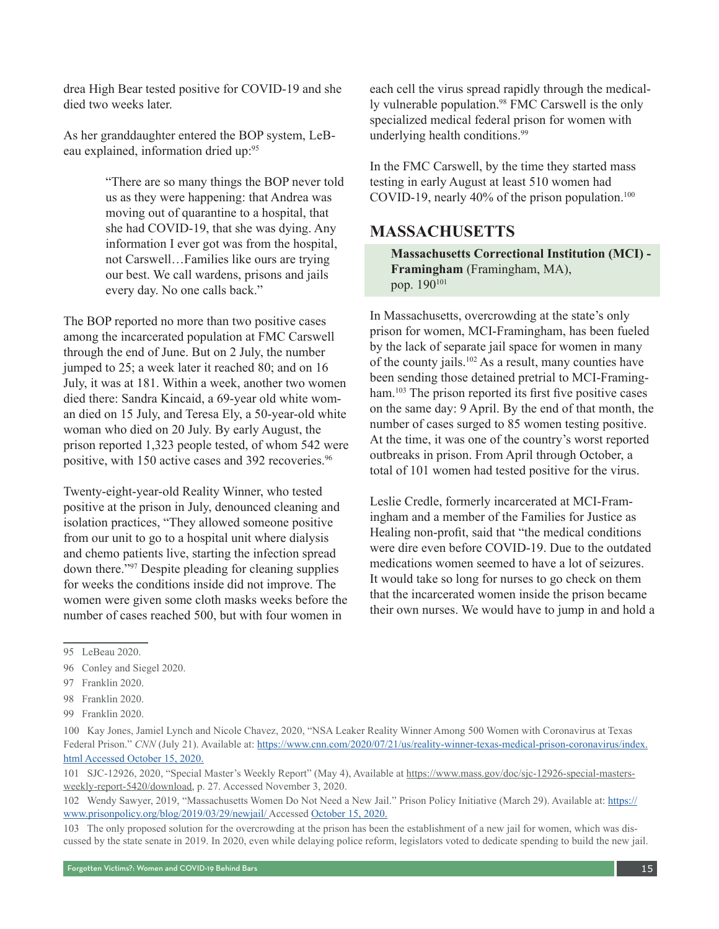drea High Bear tested positive for COVID-19 and she died two weeks later.

As her granddaughter entered the BOP system, LeBeau explained, information dried up:<sup>95</sup>

> "There are so many things the BOP never told us as they were happening: that Andrea was moving out of quarantine to a hospital, that she had COVID-19, that she was dying. Any information I ever got was from the hospital, not Carswell…Families like ours are trying our best. We call wardens, prisons and jails every day. No one calls back."

The BOP reported no more than two positive cases among the incarcerated population at FMC Carswell through the end of June. But on 2 July, the number jumped to 25; a week later it reached 80; and on 16 July, it was at 181. Within a week, another two women died there: Sandra Kincaid, a 69-year old white woman died on 15 July, and Teresa Ely, a 50-year-old white woman who died on 20 July. By early August, the prison reported 1,323 people tested, of whom 542 were positive, with 150 active cases and 392 recoveries.<sup>96</sup>

Twenty-eight-year-old Reality Winner, who tested positive at the prison in July, denounced cleaning and isolation practices, "They allowed someone positive from our unit to go to a hospital unit where dialysis and chemo patients live, starting the infection spread down there."97 Despite pleading for cleaning supplies for weeks the conditions inside did not improve. The women were given some cloth masks weeks before the number of cases reached 500, but with four women in

each cell the virus spread rapidly through the medically vulnerable population.98 FMC Carswell is the only specialized medical federal prison for women with underlying health conditions.<sup>99</sup>

In the FMC Carswell, by the time they started mass testing in early August at least 510 women had COVID-19, nearly 40% of the prison population.<sup>100</sup>

#### **MASSACHUSETTS**

**Massachusetts Correctional Institution (MCI) - Framingham** (Framingham, MA), pop. 190<sup>101</sup>

In Massachusetts, overcrowding at the state's only prison for women, MCI-Framingham, has been fueled by the lack of separate jail space for women in many of the county jails.102 As a result, many counties have been sending those detained pretrial to MCI-Framingham.<sup>103</sup> The prison reported its first five positive cases on the same day: 9 April. By the end of that month, the number of cases surged to 85 women testing positive. At the time, it was one of the country's worst reported outbreaks in prison. From April through October, a total of 101 women had tested positive for the virus.

Leslie Credle, formerly incarcerated at MCI-Framingham and a member of the Families for Justice as Healing non-profit, said that "the medical conditions were dire even before COVID-19. Due to the outdated medications women seemed to have a lot of seizures. It would take so long for nurses to go check on them that the incarcerated women inside the prison became their own nurses. We would have to jump in and hold a

<sup>95</sup> LeBeau 2020.

<sup>96</sup> Conley and Siegel 2020.

<sup>97</sup> Franklin 2020.

<sup>98</sup> Franklin 2020.

<sup>99</sup> Franklin 2020.

<sup>100</sup> Kay Jones, Jamiel Lynch and Nicole Chavez, 2020, "NSA Leaker Reality Winner Among 500 Women with Coronavirus at Texas Federal Prison." *CNN* (July 21). Available at: https://www.cnn.com/2020/07/21/us/reality-winner-texas-medical-prison-coronavirus/index. html Accessed October 15, 2020.

<sup>101</sup> SJC-12926, 2020, "Special Master's Weekly Report" (May 4), Available at [https://www.mass.gov/doc/sjc-12926-special-masters](https://www.mass.gov/doc/sjc-12926-special-masters-weekly-report-5420/download)[weekly-report-5420/download](https://www.mass.gov/doc/sjc-12926-special-masters-weekly-report-5420/download), p. 27. Accessed November 3, 2020.

<sup>102</sup> Wendy Sawyer, 2019, "Massachusetts Women Do Not Need a New Jail." Prison Policy Initiative (March 29). Available at: https:// www.prisonpolicy.org/blog/2019/03/29/newjail/ Accessed October 15, 2020.

<sup>103</sup> The only proposed solution for the overcrowding at the prison has been the establishment of a new jail for women, which was discussed by the state senate in 2019. In 2020, even while delaying police reform, legislators voted to dedicate spending to build the new jail.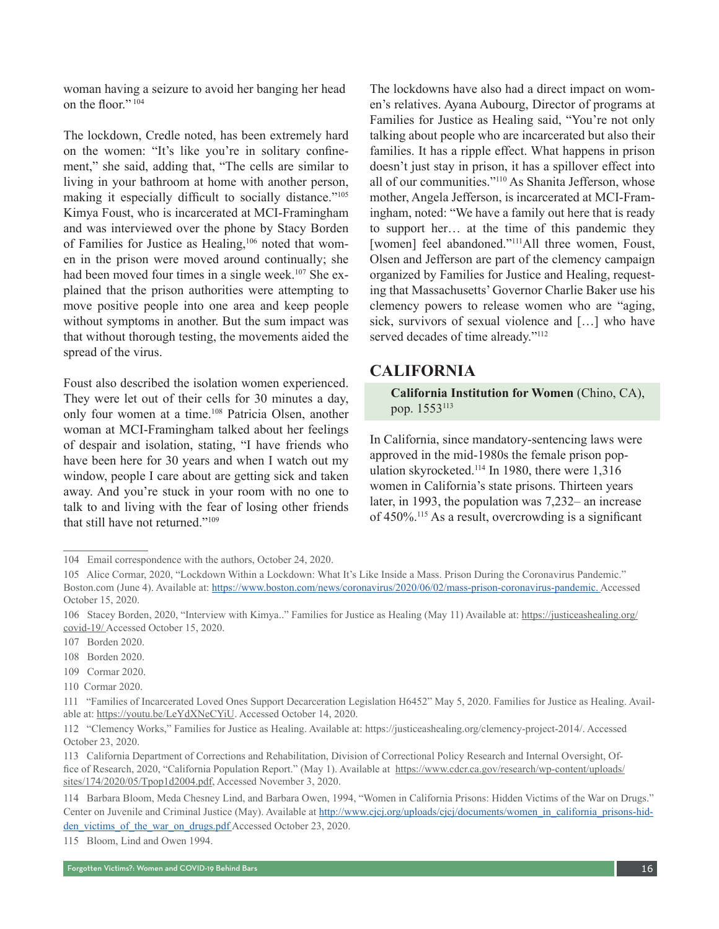woman having a seizure to avoid her banging her head on the floor." <sup>104</sup>

The lockdown, Credle noted, has been extremely hard on the women: "It's like you're in solitary confinement," she said, adding that, "The cells are similar to living in your bathroom at home with another person, making it especially difficult to socially distance."105 Kimya Foust, who is incarcerated at MCI-Framingham and was interviewed over the phone by Stacy Borden of Families for Justice as Healing,106 noted that women in the prison were moved around continually; she had been moved four times in a single week.<sup>107</sup> She explained that the prison authorities were attempting to move positive people into one area and keep people without symptoms in another. But the sum impact was that without thorough testing, the movements aided the spread of the virus.

Foust also described the isolation women experienced. They were let out of their cells for 30 minutes a day, only four women at a time.108 Patricia Olsen, another woman at MCI-Framingham talked about her feelings of despair and isolation, stating, "I have friends who have been here for 30 years and when I watch out my window, people I care about are getting sick and taken away. And you're stuck in your room with no one to talk to and living with the fear of losing other friends that still have not returned."109

The lockdowns have also had a direct impact on women's relatives. Ayana Aubourg, Director of programs at Families for Justice as Healing said, "You're not only talking about people who are incarcerated but also their families. It has a ripple effect. What happens in prison doesn't just stay in prison, it has a spillover effect into all of our communities."110 As Shanita Jefferson, whose mother, Angela Jefferson, is incarcerated at MCI-Framingham, noted: "We have a family out here that is ready to support her… at the time of this pandemic they [women] feel abandoned."<sup>111</sup>All three women, Foust, Olsen and Jefferson are part of the clemency campaign organized by Families for Justice and Healing, requesting that Massachusetts' Governor Charlie Baker use his clemency powers to release women who are "aging, sick, survivors of sexual violence and […] who have served decades of time already."<sup>112</sup>

#### **CALIFORNIA**

**California Institution for Women** (Chino, CA), pop. 1553113

In California, since mandatory-sentencing laws were approved in the mid-1980s the female prison population skyrocketed.<sup>114</sup> In 1980, there were 1,316 women in California's state prisons. Thirteen years later, in 1993, the population was 7,232– an increase of 450%.115 As a result, overcrowding is a significant

<sup>104</sup> Email correspondence with the authors, October 24, 2020.

<sup>105</sup> Alice Cormar, 2020, "Lockdown Within a Lockdown: What It's Like Inside a Mass. Prison During the Coronavirus Pandemic." Boston.com (June 4). Available at: https://www.boston.com/news/coronavirus/2020/06/02/mass-prison-coronavirus-pandemic. Accessed October 15, 2020.

<sup>106</sup> Stacey Borden, 2020, "Interview with Kimya.." Families for Justice as Healing (May 11) Available at: https://justiceashealing.org/ covid-19/ Accessed October 15, 2020.

<sup>107</sup> Borden 2020.

<sup>108</sup> Borden 2020.

<sup>109</sup> Cormar 2020.

<sup>110</sup> Cormar 2020.

<sup>111</sup> "Families of Incarcerated Loved Ones Support Decarceration Legislation H6452" May 5, 2020. Families for Justice as Healing. Available at: https://youtu.be/LeYdXNeCYiU. Accessed October 14, 2020.

<sup>112</sup> "Clemency Works," Families for Justice as Healing. Available at: https://justiceashealing.org/clemency-project-2014/. Accessed October 23, 2020.

<sup>113</sup> California Department of Corrections and Rehabilitation, Division of Correctional Policy Research and Internal Oversight, Office of Research, 2020, "California Population Report." (May 1). Available at [https://www.cdcr.ca.gov/research/wp-content/uploads/](https://www.cdcr.ca.gov/research/wp-content/uploads/sites/174/2020/05/Tpop1d2004.pdf) [sites/174/2020/05/Tpop1d2004.pdf,](https://www.cdcr.ca.gov/research/wp-content/uploads/sites/174/2020/05/Tpop1d2004.pdf) Accessed November 3, 2020.

<sup>114</sup> Barbara Bloom, Meda Chesney Lind, and Barbara Owen, 1994, "Women in California Prisons: Hidden Victims of the War on Drugs." Center on Juvenile and Criminal Justice (May). Available at http://www.cjcj.org/uploads/cjcj/documents/women\_in\_california\_prisons-hidden victims of the war on drugs.pdf Accessed October 23, 2020.

<sup>115</sup> Bloom, Lind and Owen 1994.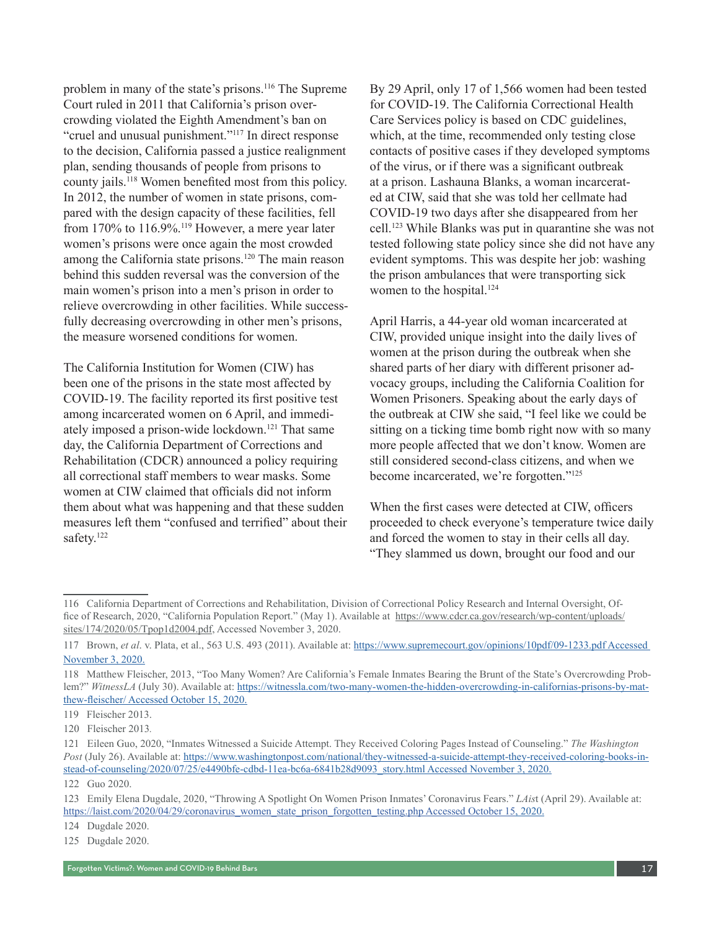problem in many of the state's prisons.116 The Supreme Court ruled in 2011 that California's prison overcrowding violated the Eighth Amendment's ban on "cruel and unusual punishment."117 In direct response to the decision, California passed a justice realignment plan, sending thousands of people from prisons to county jails.118 Women benefited most from this policy. In 2012, the number of women in state prisons, compared with the design capacity of these facilities, fell from 170% to 116.9%.<sup>119</sup> However, a mere year later women's prisons were once again the most crowded among the California state prisons.120 The main reason behind this sudden reversal was the conversion of the main women's prison into a men's prison in order to relieve overcrowding in other facilities. While successfully decreasing overcrowding in other men's prisons, the measure worsened conditions for women.

The California Institution for Women (CIW) has been one of the prisons in the state most affected by COVID-19. The facility reported its first positive test among incarcerated women on 6 April, and immediately imposed a prison-wide lockdown.121 That same day, the California Department of Corrections and Rehabilitation (CDCR) announced a policy requiring all correctional staff members to wear masks. Some women at CIW claimed that officials did not inform them about what was happening and that these sudden measures left them "confused and terrified" about their safety.<sup>122</sup>

By 29 April, only 17 of 1,566 women had been tested for COVID-19. The California Correctional Health Care Services policy is based on CDC guidelines, which, at the time, recommended only testing close contacts of positive cases if they developed symptoms of the virus, or if there was a significant outbreak at a prison. Lashauna Blanks, a woman incarcerated at CIW, said that she was told her cellmate had COVID-19 two days after she disappeared from her cell.123 While Blanks was put in quarantine she was not tested following state policy since she did not have any evident symptoms. This was despite her job: washing the prison ambulances that were transporting sick women to the hospital.<sup>124</sup>

April Harris, a 44-year old woman incarcerated at CIW, provided unique insight into the daily lives of women at the prison during the outbreak when she shared parts of her diary with different prisoner advocacy groups, including the California Coalition for Women Prisoners. Speaking about the early days of the outbreak at CIW she said, "I feel like we could be sitting on a ticking time bomb right now with so many more people affected that we don't know. Women are still considered second-class citizens, and when we become incarcerated, we're forgotten."125

When the first cases were detected at CIW, officers proceeded to check everyone's temperature twice daily and forced the women to stay in their cells all day. "They slammed us down, brought our food and our

<sup>116</sup> California Department of Corrections and Rehabilitation, Division of Correctional Policy Research and Internal Oversight, Office of Research, 2020, "California Population Report." (May 1). Available at [https://www.cdcr.ca.gov/research/wp-content/uploads/](https://www.cdcr.ca.gov/research/wp-content/uploads/sites/174/2020/05/Tpop1d2004.pdf) [sites/174/2020/05/Tpop1d2004.pdf,](https://www.cdcr.ca.gov/research/wp-content/uploads/sites/174/2020/05/Tpop1d2004.pdf) Accessed November 3, 2020.

<sup>117</sup> Brown, *et al*. v. Plata, et al., 563 U.S. 493 (2011). Available at: https://www.supremecourt.gov/opinions/10pdf/09-1233.pdf Accessed November 3, 2020.

<sup>118</sup> Matthew Fleischer, 2013, "Too Many Women? Are California's Female Inmates Bearing the Brunt of the State's Overcrowding Problem?" *WitnessLA* (July 30). Available at: https://witnessla.com/two-many-women-the-hidden-overcrowding-in-californias-prisons-by-matthew-fleischer/ Accessed October 15, 2020.

<sup>119</sup> Fleischer 2013.

<sup>120</sup> Fleischer 2013*.*

<sup>121</sup> Eileen Guo, 2020, "Inmates Witnessed a Suicide Attempt. They Received Coloring Pages Instead of Counseling." *The Washington Post* (July 26). Available at: https://www.washingtonpost.com/national/they-witnessed-a-suicide-attempt-they-received-coloring-books-instead-of-counseling/2020/07/25/e4490bfe-cdbd-11ea-bc6a-6841b28d9093\_story.html Accessed November 3, 2020.

<sup>122</sup> Guo 2020.

<sup>123</sup> Emily Elena Dugdale, 2020, "Throwing A Spotlight On Women Prison Inmates' Coronavirus Fears." *LAis*t (April 29). Available at: [https://laist.com/2020/04/29/coronavirus\\_women\\_state\\_prison\\_forgotten\\_testing.php Accessed October 15](https://laist.com/2020/04/29/coronavirus_women_state_prison_forgotten_testing.php Accessed October 15), 2020.

<sup>124</sup> Dugdale 2020.

<sup>125</sup> Dugdale 2020.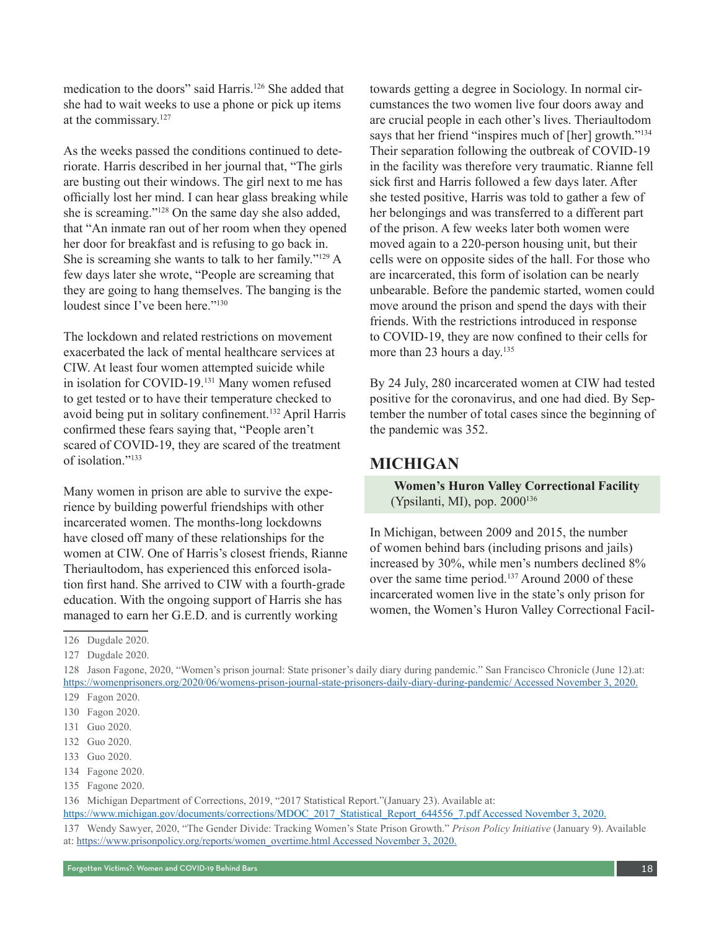medication to the doors" said Harris.126 She added that she had to wait weeks to use a phone or pick up items at the commissary.127

As the weeks passed the conditions continued to deteriorate. Harris described in her journal that, "The girls are busting out their windows. The girl next to me has officially lost her mind. I can hear glass breaking while she is screaming."128 On the same day she also added, that "An inmate ran out of her room when they opened her door for breakfast and is refusing to go back in. She is screaming she wants to talk to her family."129 A few days later she wrote, "People are screaming that they are going to hang themselves. The banging is the loudest since I've been here."<sup>130</sup>

The lockdown and related restrictions on movement exacerbated the lack of mental healthcare services at CIW. At least four women attempted suicide while in isolation for COVID-19.<sup>131</sup> Many women refused to get tested or to have their temperature checked to avoid being put in solitary confinement.132 April Harris confirmed these fears saying that, "People aren't scared of COVID-19, they are scared of the treatment of isolation."<sup>133</sup>

Many women in prison are able to survive the experience by building powerful friendships with other incarcerated women. The months-long lockdowns have closed off many of these relationships for the women at CIW. One of Harris's closest friends, Rianne Theriaultodom, has experienced this enforced isolation first hand. She arrived to CIW with a fourth-grade education. With the ongoing support of Harris she has managed to earn her G.E.D. and is currently working

towards getting a degree in Sociology. In normal circumstances the two women live four doors away and are crucial people in each other's lives. Theriaultodom says that her friend "inspires much of [her] growth."<sup>134</sup> Their separation following the outbreak of COVID-19 in the facility was therefore very traumatic. Rianne fell sick first and Harris followed a few days later. After she tested positive, Harris was told to gather a few of her belongings and was transferred to a different part of the prison. A few weeks later both women were moved again to a 220-person housing unit, but their cells were on opposite sides of the hall. For those who are incarcerated, this form of isolation can be nearly unbearable. Before the pandemic started, women could move around the prison and spend the days with their friends. With the restrictions introduced in response to COVID-19, they are now confined to their cells for more than 23 hours a day.<sup>135</sup>

By 24 July, 280 incarcerated women at CIW had tested positive for the coronavirus, and one had died. By September the number of total cases since the beginning of the pandemic was 352.

#### **MICHIGAN**

 **Women's Huron Valley Correctional Facility** (Ypsilanti, MI), pop. 2000<sup>136</sup>

In Michigan, between 2009 and 2015, the number of women behind bars (including prisons and jails) increased by 30%, while men's numbers declined 8% over the same time period.<sup>137</sup> Around 2000 of these incarcerated women live in the state's only prison for women, the Women's Huron Valley Correctional Facil-

<sup>126</sup> Dugdale 2020.

<sup>127</sup> Dugdale 2020.

<sup>128</sup> Jason Fagone, 2020, "Women's prison journal: State prisoner's daily diary during pandemic." San Francisco Chronicle (June 12).at: https://womenprisoners.org/2020/06/womens-prison-journal-state-prisoners-daily-diary-during-pandemic/ Accessed November 3, 2020. 129 Fagon 2020.

<sup>130</sup> Fagon 2020.

<sup>131</sup> Guo 2020.

<sup>132</sup> Guo 2020.

<sup>133</sup> Guo 2020.

<sup>134</sup> Fagone 2020.

<sup>135</sup> Fagone 2020.

<sup>136</sup> Michigan Department of Corrections, 2019, "2017 Statistical Report."(January 23). Available at:

[https://www.michigan.gov/documents/corrections/MDOC\\_2017\\_Statistical\\_Report\\_644556\\_7.pdf](https://www.michigan.gov/documents/corrections/MDOC_2017_Statistical_Report_644556_7.pdf) Accessed November 3, 2020.

<sup>137</sup> Wendy Sawyer, 2020, "The Gender Divide: Tracking Women's State Prison Growth." *Prison Policy Initiative* (January 9). Available at: [https://www.prisonpolicy.org/reports/women\\_overtime.html](https://www.prisonpolicy.org/reports/women_overtime.html) Accessed November 3, 2020.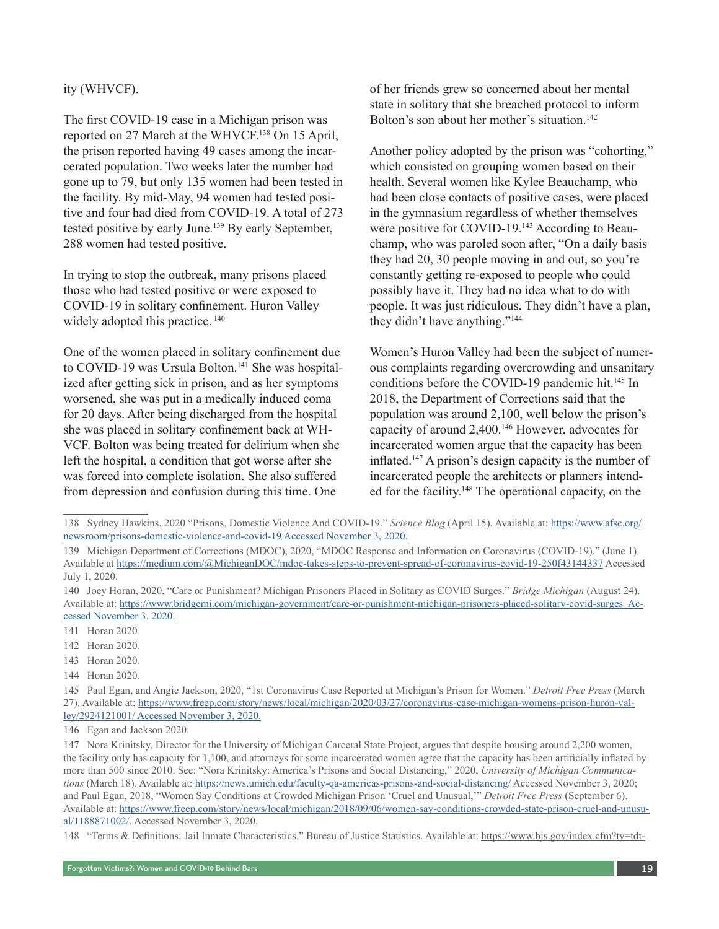#### ity (WHVCF).

The first COVID-19 case in a Michigan prison was reported on 27 March at the WHVCF.<sup>138</sup> On 15 April, the prison reported having 49 cases among the incarcerated population. Two weeks later the number had gone up to 79, but only 135 women had been tested in the facility. By mid-May, 94 women had tested positive and four had died from COVID-19. A total of 273 tested positive by early June.139 By early September, 288 women had tested positive.

In trying to stop the outbreak, many prisons placed those who had tested positive or were exposed to COVID-19 in solitary confinement. Huron Valley widely adopted this practice.  $140$ 

One of the women placed in solitary confinement due to COVID-19 was Ursula Bolton.<sup>141</sup> She was hospitalized after getting sick in prison, and as her symptoms worsened, she was put in a medically induced coma for 20 days. After being discharged from the hospital she was placed in solitary confinement back at WH-VCF. Bolton was being treated for delirium when she left the hospital, a condition that got worse after she was forced into complete isolation. She also suffered from depression and confusion during this time. One

of her friends grew so concerned about her mental state in solitary that she breached protocol to inform Bolton's son about her mother's situation.<sup>142</sup>

Another policy adopted by the prison was "cohorting," which consisted on grouping women based on their health. Several women like Kylee Beauchamp, who had been close contacts of positive cases, were placed in the gymnasium regardless of whether themselves were positive for COVID-19.<sup>143</sup> According to Beauchamp, who was paroled soon after, "On a daily basis they had 20, 30 people moving in and out, so you're constantly getting re-exposed to people who could possibly have it. They had no idea what to do with people. It was just ridiculous. They didn't have a plan, they didn't have anything."144

Women's Huron Valley had been the subject of numerous complaints regarding overcrowding and unsanitary conditions before the COVID-19 pandemic hit.<sup>145</sup> In 2018, the Department of Corrections said that the population was around 2,100, well below the prison's capacity of around 2,400.146 However, advocates for incarcerated women argue that the capacity has been inflated.147 A prison's design capacity is the number of incarcerated people the architects or planners intended for the facility.148 The operational capacity, on the

- 143 Horan 2020*.*
- 144 Horan 2020*.*

<sup>138</sup> Sydney Hawkins, 2020 "Prisons, Domestic Violence And COVID-19." *Science Blog* (April 15). Available at: [https://www.afsc.org/](https://www.afsc.org/newsroom/prisons-domestic-violence-and-covid-19) [newsroom/prisons-domestic-violence-and-covid-19](https://www.afsc.org/newsroom/prisons-domestic-violence-and-covid-19) Accessed November 3, 2020.

<sup>139</sup> Michigan Department of Corrections (MDOC), 2020, "MDOC Response and Information on Coronavirus (COVID-19)." (June 1). Available at<https://medium.com/@MichiganDOC/mdoc-takes-steps-to-prevent-spread-of-coronavirus-covid-19-250f43144337>Accessed July 1, 2020.

<sup>140</sup> Joey Horan, 2020, "Care or Punishment? Michigan Prisoners Placed in Solitary as COVID Surges." *Bridge Michigan* (August 24). Available at: https://www.bridgemi.com/michigan-government/care-or-punishment-michigan-prisoners-placed-solitary-covid-surges Accessed November 3, 2020.

<sup>141</sup> Horan 2020*.*

<sup>142</sup> Horan 2020*.*

<sup>145</sup> Paul Egan, and Angie Jackson, 2020, "1st Coronavirus Case Reported at Michigan's Prison for Women." *Detroit Free Press* (March 27). Available at: [https://www.freep.com/story/news/local/michigan/2020/03/27/coronavirus-case-michigan-womens-prison-huron-val](https://www.freep.com/story/news/local/michigan/2020/03/27/coronavirus-case-michigan-womens-prison-huron-valley/2924121001/)[ley/2924121001/](https://www.freep.com/story/news/local/michigan/2020/03/27/coronavirus-case-michigan-womens-prison-huron-valley/2924121001/) Accessed November 3, 2020.

<sup>146</sup> Egan and Jackson 2020.

<sup>147</sup> Nora Krinitsky, Director for the University of Michigan Carceral State Project, argues that despite housing around 2,200 women, the facility only has capacity for 1,100, and attorneys for some incarcerated women agree that the capacity has been artificially inflated by more than 500 since 2010. See: "Nora Krinitsky: America's Prisons and Social Distancing," 2020, *University of Michigan Communications* (March 18). Available at:<https://news.umich.edu/faculty-qa-americas-prisons-and-social-distancing/> Accessed November 3, 2020; and Paul Egan, 2018, "Women Say Conditions at Crowded Michigan Prison 'Cruel and Unusual,'" *Detroit Free Press* (September 6). Available at: [https://www.freep.com/story/news/local/michigan/2018/09/06/women-say-conditions-crowded-state-prison-cruel-and-unusu](https://www.freep.com/story/news/local/michigan/2018/09/06/women-say-conditions-crowded-state-prison-cruel-and-unusual/1188871002/)[al/1188871002/](https://www.freep.com/story/news/local/michigan/2018/09/06/women-say-conditions-crowded-state-prison-cruel-and-unusual/1188871002/). Accessed November 3, 2020.

<sup>148</sup> "Terms & Definitions: Jail Inmate Characteristics." Bureau of Justice Statistics. Available at: [https://www.bjs.gov/index.cfm?ty=tdt-](https://www.bjs.gov/index.cfm?ty=tdtp&tid=122)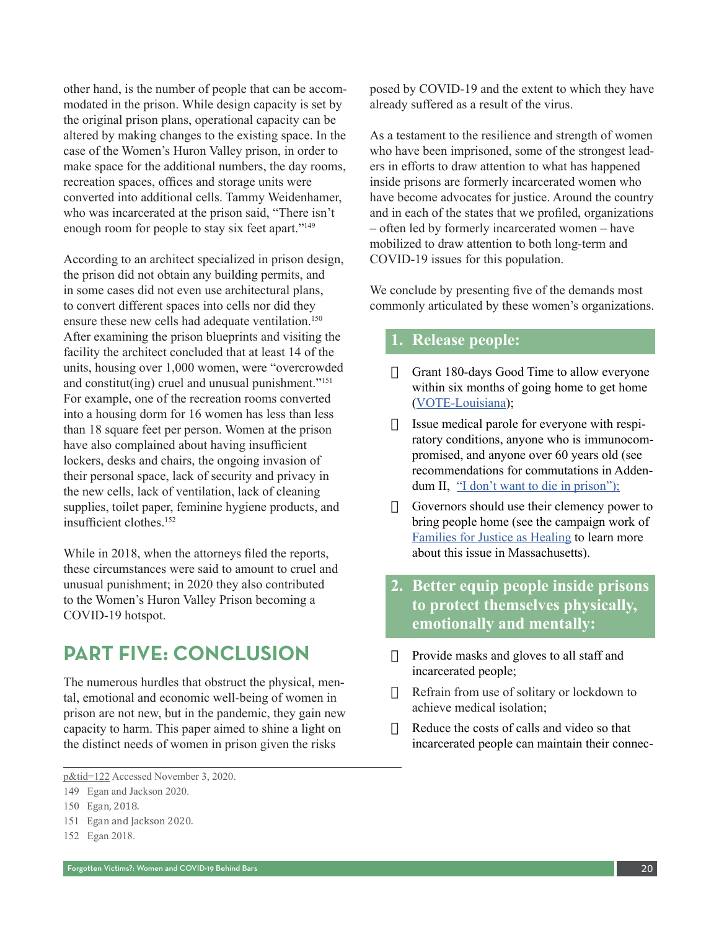other hand, is the number of people that can be accommodated in the prison. While design capacity is set by the original prison plans, operational capacity can be altered by making changes to the existing space. In the case of the Women's Huron Valley prison, in order to make space for the additional numbers, the day rooms, recreation spaces, offices and storage units were converted into additional cells. Tammy Weidenhamer, who was incarcerated at the prison said, "There isn't enough room for people to stay six feet apart."149

According to an architect specialized in prison design, the prison did not obtain any building permits, and in some cases did not even use architectural plans, to convert different spaces into cells nor did they ensure these new cells had adequate ventilation.<sup>150</sup> After examining the prison blueprints and visiting the facility the architect concluded that at least 14 of the units, housing over 1,000 women, were "overcrowded and constitut(ing) cruel and unusual punishment."151 For example, one of the recreation rooms converted into a housing dorm for 16 women has less than less than 18 square feet per person. Women at the prison have also complained about having insufficient lockers, desks and chairs, the ongoing invasion of their personal space, lack of security and privacy in the new cells, lack of ventilation, lack of cleaning supplies, toilet paper, feminine hygiene products, and insufficient clothes.152

While in 2018, when the attorneys filed the reports, these circumstances were said to amount to cruel and unusual punishment; in 2020 they also contributed to the Women's Huron Valley Prison becoming a COVID-19 hotspot.

### **PART FIVE: CONCLUSION**

The numerous hurdles that obstruct the physical, mental, emotional and economic well-being of women in prison are not new, but in the pandemic, they gain new capacity to harm. This paper aimed to shine a light on the distinct needs of women in prison given the risks

posed by COVID-19 and the extent to which they have already suffered as a result of the virus.

As a testament to the resilience and strength of women who have been imprisoned, some of the strongest leaders in efforts to draw attention to what has happened inside prisons are formerly incarcerated women who have become advocates for justice. Around the country and in each of the states that we profiled, organizations – often led by formerly incarcerated women – have mobilized to draw attention to both long-term and COVID-19 issues for this population.

We conclude by presenting five of the demands most commonly articulated by these women's organizations.

#### **1. Release people:**

- $\Box$  Grant 180-days Good Time to allow everyone within six months of going home to get home ([VOTE-Louisiana](https://www.vote-nola.org/covid-response.html));
- $\Box$  Issue medical parole for everyone with respiratory conditions, anyone who is immunocompromised, and anyone over 60 years old (see recommendations for commutations in Addendum II, ["I don't want to die in prison"\);](https://sites.lsa.umich.edu/dcc-project/wp-content/uploads/sites/789/2020/08/AFSC-CSP-COVID-19-White-Paper.pdf)
- $\Box$  Governors should use their clemency power to bring people home (see the campaign work of [Families for Justice as Healing](https://justiceashealing.org/clemency-project-2014/) to learn more about this issue in Massachusetts).
- **2. Better equip people inside prisons to protect themselves physically, emotionally and mentally:**
- $\Box$  Provide masks and gloves to all staff and incarcerated people;
- $\Box$  Refrain from use of solitary or lockdown to achieve medical isolation;
- $\Box$  Reduce the costs of calls and video so that incarcerated people can maintain their connec-

[p&tid=122](https://www.bjs.gov/index.cfm?ty=tdtp&tid=122) Accessed November 3, 2020.

<sup>149</sup> Egan and Jackson 2020.

<sup>150</sup> Egan, 2018.

<sup>151</sup> Egan and Jackson 2020.

<sup>152</sup> Egan 2018.